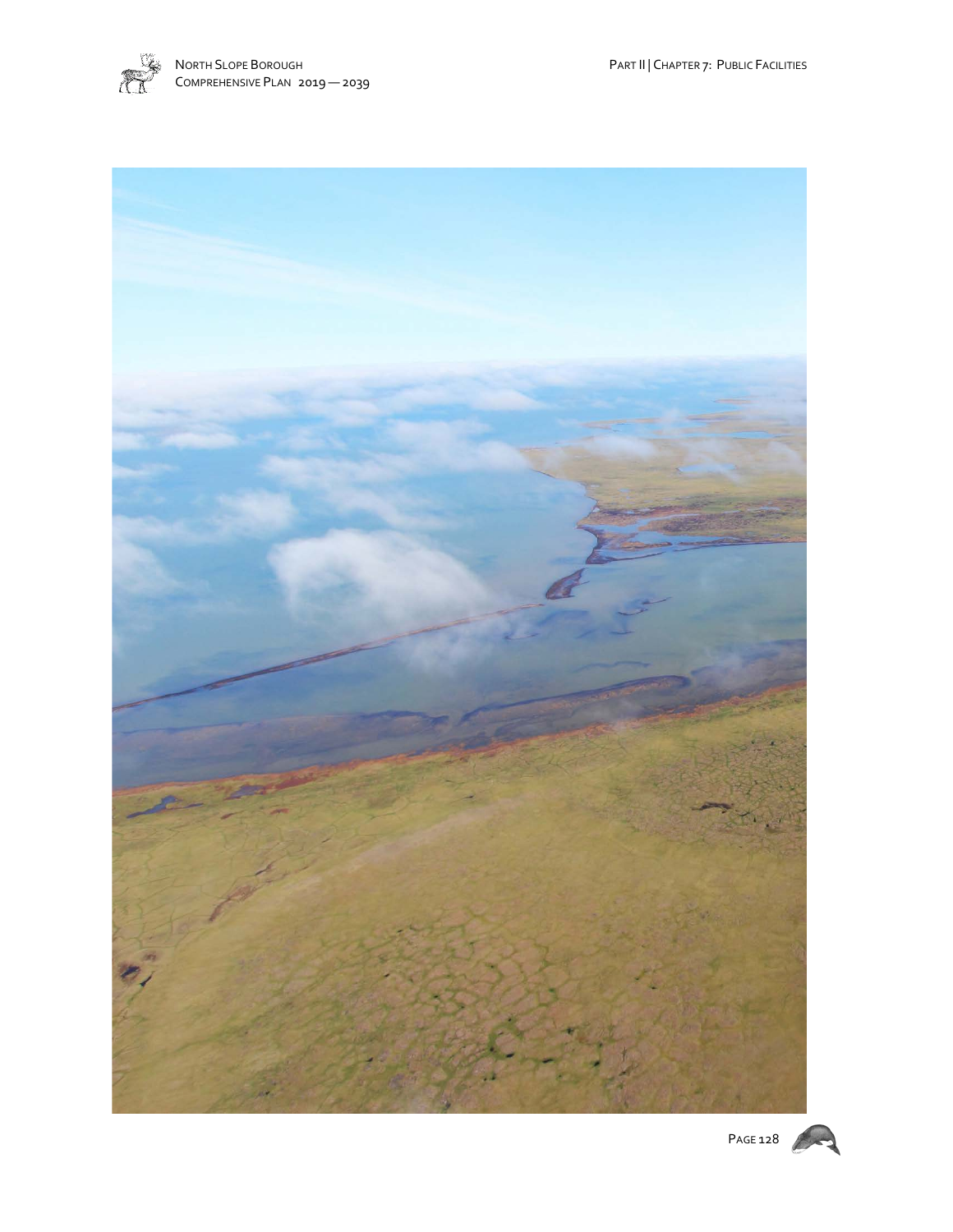

A



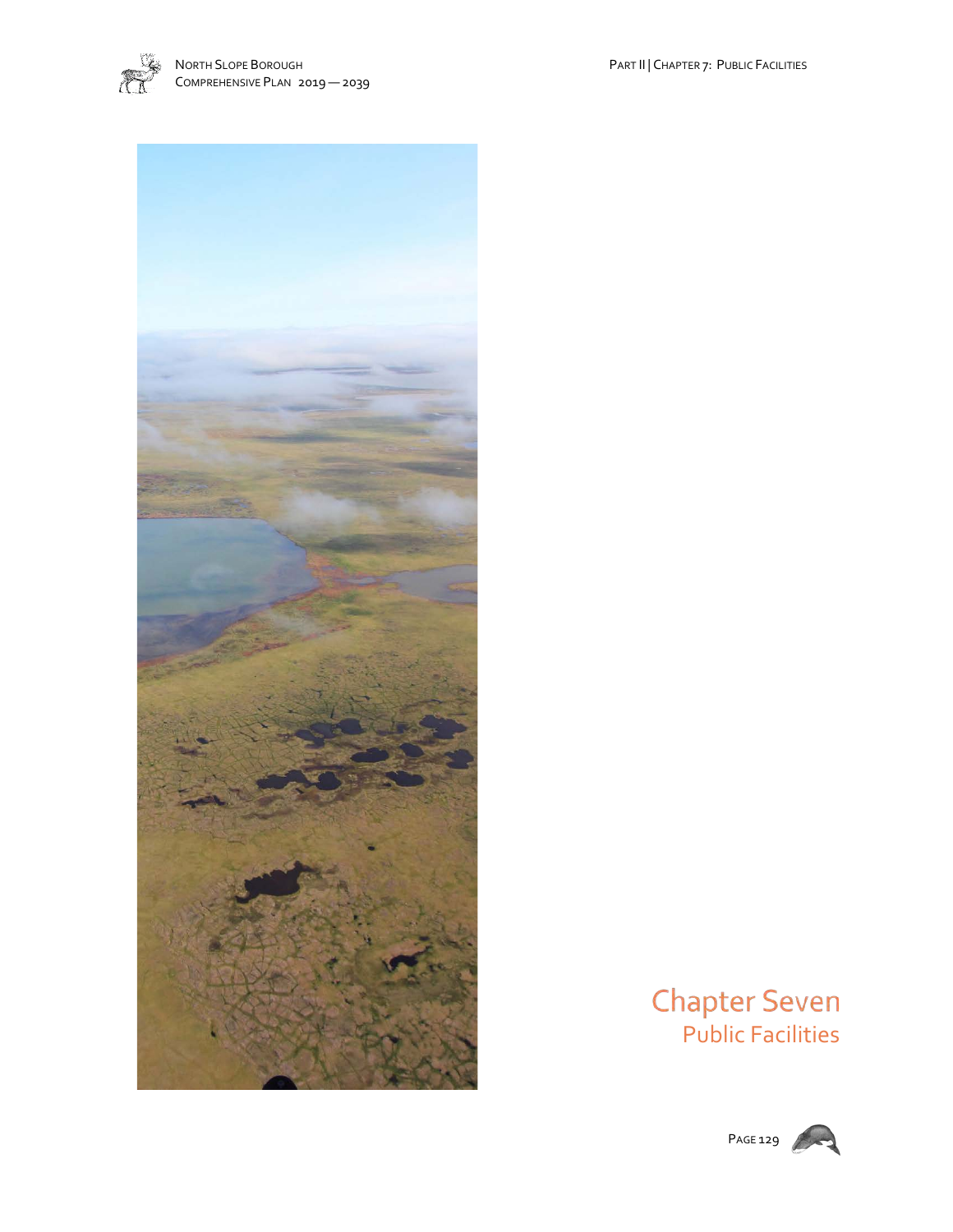



# **Chapter Seven** Public Facilities

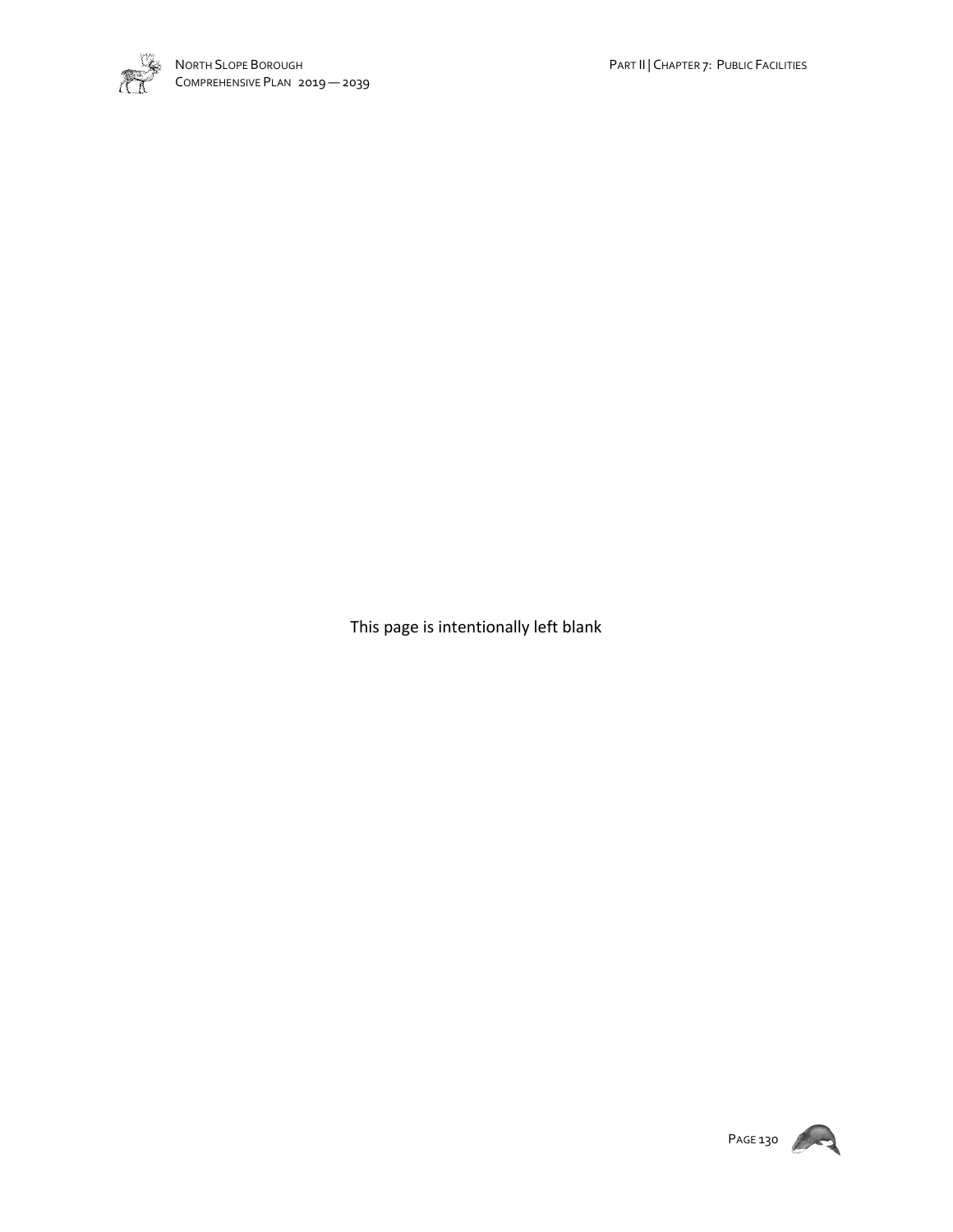

This page is intentionally left blank

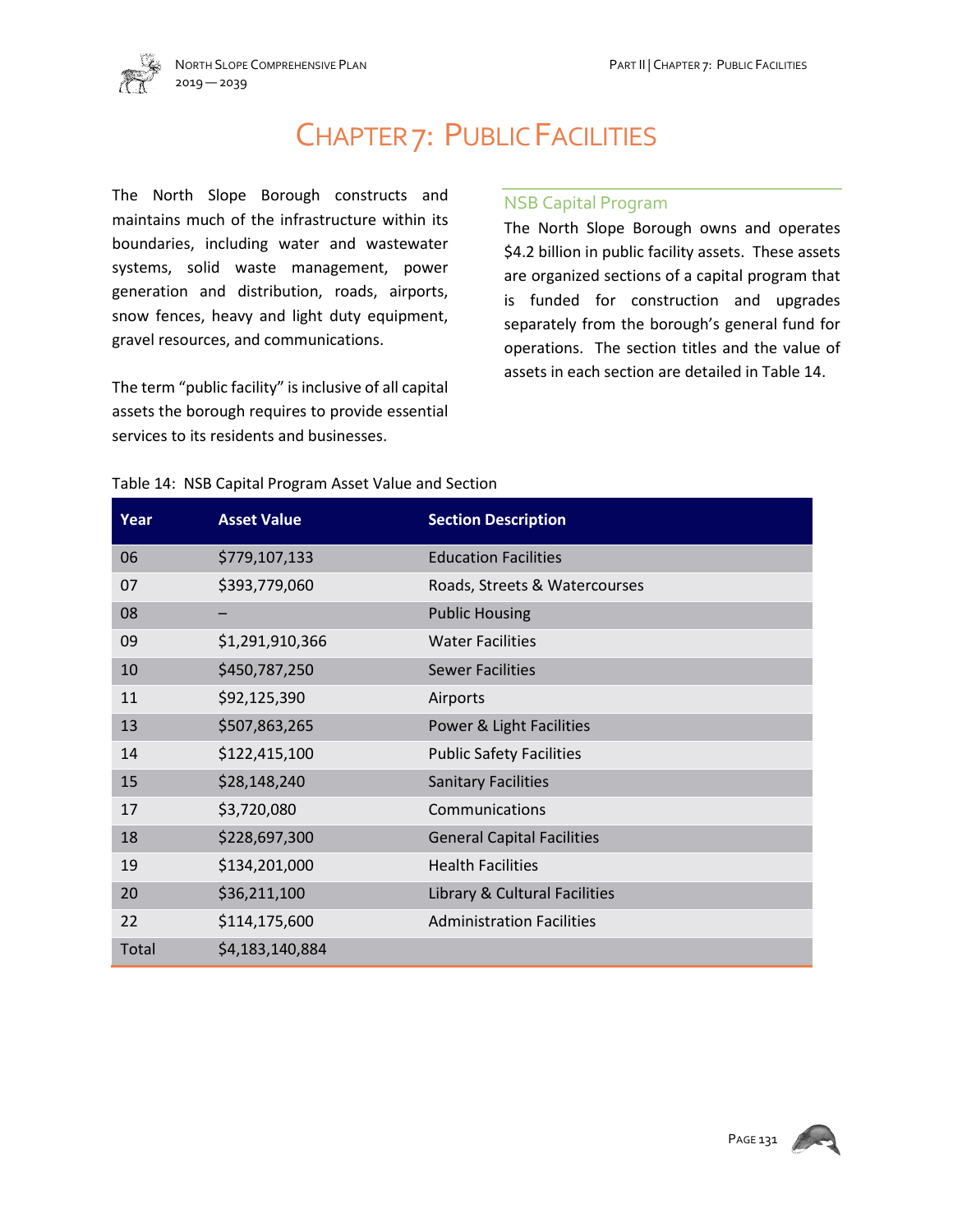

The North Slope Borough constructs and maintains much of the infrastructure within its boundaries, including water and wastewater systems, solid waste management, power generation and distribution, roads, airports, snow fences, heavy and light duty equipment, gravel resources, and communications.

The term "public facility" is inclusive of all capital assets the borough requires to provide essential services to its residents and businesses.

## NSB Capital Program

The North Slope Borough owns and operates \$4.2 billion in public facility assets. These assets are organized sections of a capital program that is funded for construction and upgrades separately from the borough's general fund for operations. The section titles and the value of assets in each section are detailed in Table 14.

| Year         | <b>Asset Value</b> | <b>Section Description</b>        |
|--------------|--------------------|-----------------------------------|
| 06           | \$779,107,133      | <b>Education Facilities</b>       |
| 07           | \$393,779,060      | Roads, Streets & Watercourses     |
| 08           |                    | <b>Public Housing</b>             |
| 09           | \$1,291,910,366    | <b>Water Facilities</b>           |
| 10           | \$450,787,250      | <b>Sewer Facilities</b>           |
| 11           | \$92,125,390       | Airports                          |
| 13           | \$507,863,265      | Power & Light Facilities          |
| 14           | \$122,415,100      | <b>Public Safety Facilities</b>   |
| 15           | \$28,148,240       | <b>Sanitary Facilities</b>        |
| 17           | \$3,720,080        | Communications                    |
| 18           | \$228,697,300      | <b>General Capital Facilities</b> |
| 19           | \$134,201,000      | <b>Health Facilities</b>          |
| 20           | \$36,211,100       | Library & Cultural Facilities     |
| 22           | \$114,175,600      | <b>Administration Facilities</b>  |
| <b>Total</b> | \$4,183,140,884    |                                   |

#### Table 14: NSB Capital Program Asset Value and Section

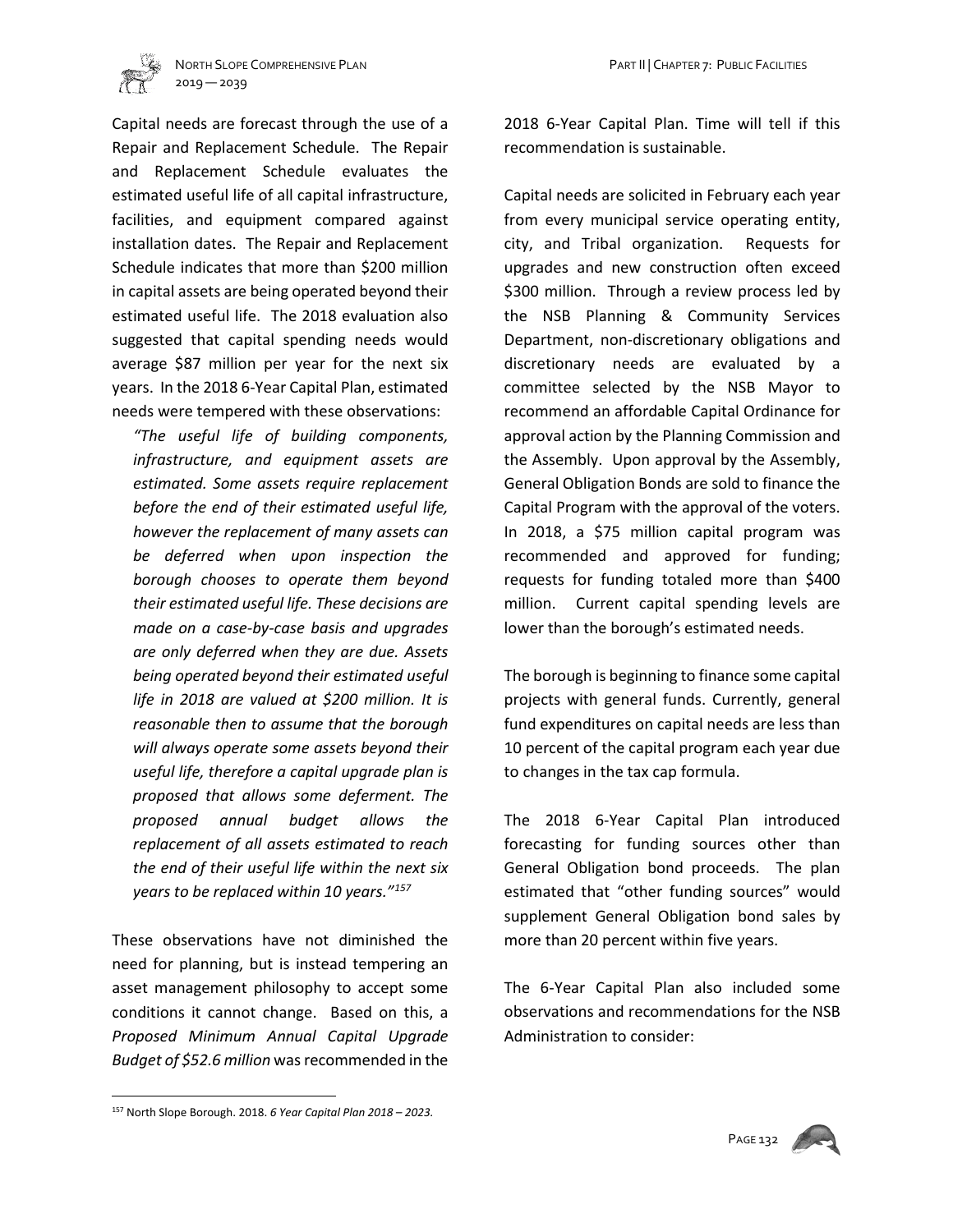

NORTH SLOPE COMPREHENSIVE PLAN PART II | CHAPTER 7: PUBLIC FACILITIES 2019 — 2039

Capital needs are forecast through the use of a Repair and Replacement Schedule. The Repair and Replacement Schedule evaluates the estimated useful life of all capital infrastructure, facilities, and equipment compared against installation dates. The Repair and Replacement Schedule indicates that more than \$200 million in capital assets are being operated beyond their estimated useful life. The 2018 evaluation also suggested that capital spending needs would average \$87 million per year for the next six years. In the 2018 6-Year Capital Plan, estimated needs were tempered with these observations:

*"The useful life of building components, infrastructure, and equipment assets are estimated. Some assets require replacement before the end of their estimated useful life, however the replacement of many assets can be deferred when upon inspection the borough chooses to operate them beyond their estimated useful life. These decisions are made on a case-by-case basis and upgrades are only deferred when they are due. Assets being operated beyond their estimated useful life in 2018 are valued at \$200 million. It is reasonable then to assume that the borough will always operate some assets beyond their useful life, therefore a capital upgrade plan is proposed that allows some deferment. The proposed annual budget allows the replacement of all assets estimated to reach the end of their useful life within the next six years to be replaced within 10 years."[157](#page-4-0)*

These observations have not diminished the need for planning, but is instead tempering an asset management philosophy to accept some conditions it cannot change. Based on this, a *Proposed Minimum Annual Capital Upgrade Budget of \$52.6 million* was recommended in the 2018 6-Year Capital Plan. Time will tell if this recommendation is sustainable.

Capital needs are solicited in February each year from every municipal service operating entity, city, and Tribal organization. Requests for upgrades and new construction often exceed \$300 million. Through a review process led by the NSB Planning & Community Services Department, non-discretionary obligations and discretionary needs are evaluated by a committee selected by the NSB Mayor to recommend an affordable Capital Ordinance for approval action by the Planning Commission and the Assembly. Upon approval by the Assembly, General Obligation Bonds are sold to finance the Capital Program with the approval of the voters. In 2018, a \$75 million capital program was recommended and approved for funding; requests for funding totaled more than \$400 million. Current capital spending levels are lower than the borough's estimated needs.

The borough is beginning to finance some capital projects with general funds. Currently, general fund expenditures on capital needs are less than 10 percent of the capital program each year due to changes in the tax cap formula.

The 2018 6-Year Capital Plan introduced forecasting for funding sources other than General Obligation bond proceeds. The plan estimated that "other funding sources" would supplement General Obligation bond sales by more than 20 percent within five years.

The 6-Year Capital Plan also included some observations and recommendations for the NSB Administration to consider:

 $\overline{\phantom{a}}$ 



<span id="page-4-0"></span><sup>157</sup> North Slope Borough. 2018. *6 Year Capital Plan 2018 – 2023.*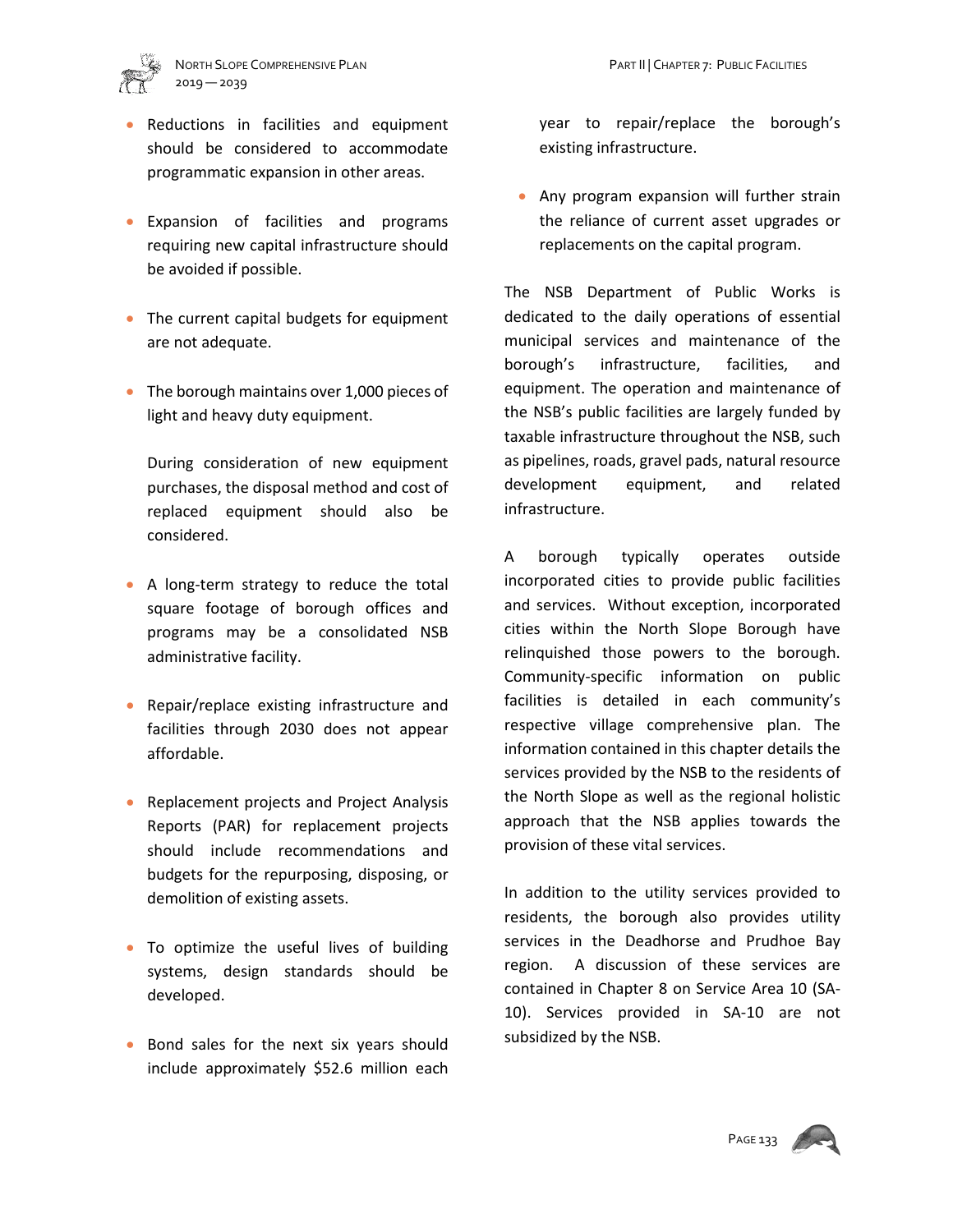- Reductions in facilities and equipment should be considered to accommodate programmatic expansion in other areas.
- Expansion of facilities and programs requiring new capital infrastructure should be avoided if possible.
- The current capital budgets for equipment are not adequate.
- The borough maintains over 1,000 pieces of light and heavy duty equipment.

During consideration of new equipment purchases, the disposal method and cost of replaced equipment should also be considered.

- A long-term strategy to reduce the total square footage of borough offices and programs may be a consolidated NSB administrative facility.
- Repair/replace existing infrastructure and facilities through 2030 does not appear affordable.
- Replacement projects and Project Analysis Reports (PAR) for replacement projects should include recommendations and budgets for the repurposing, disposing, or demolition of existing assets.
- To optimize the useful lives of building systems, design standards should be developed.
- Bond sales for the next six years should include approximately \$52.6 million each

year to repair/replace the borough's existing infrastructure.

• Any program expansion will further strain the reliance of current asset upgrades or replacements on the capital program.

The NSB Department of Public Works is dedicated to the daily operations of essential municipal services and maintenance of the borough's infrastructure, facilities, and equipment. The operation and maintenance of the NSB's public facilities are largely funded by taxable infrastructure throughout the NSB, such as pipelines, roads, gravel pads, natural resource development equipment, and related infrastructure.

A borough typically operates outside incorporated cities to provide public facilities and services. Without exception, incorporated cities within the North Slope Borough have relinquished those powers to the borough. Community-specific information on public facilities is detailed in each community's respective village comprehensive plan. The information contained in this chapter details the services provided by the NSB to the residents of the North Slope as well as the regional holistic approach that the NSB applies towards the provision of these vital services.

In addition to the utility services provided to residents, the borough also provides utility services in the Deadhorse and Prudhoe Bay region. A discussion of these services are contained in Chapter 8 on Service Area 10 (SA-10). Services provided in SA-10 are not subsidized by the NSB.

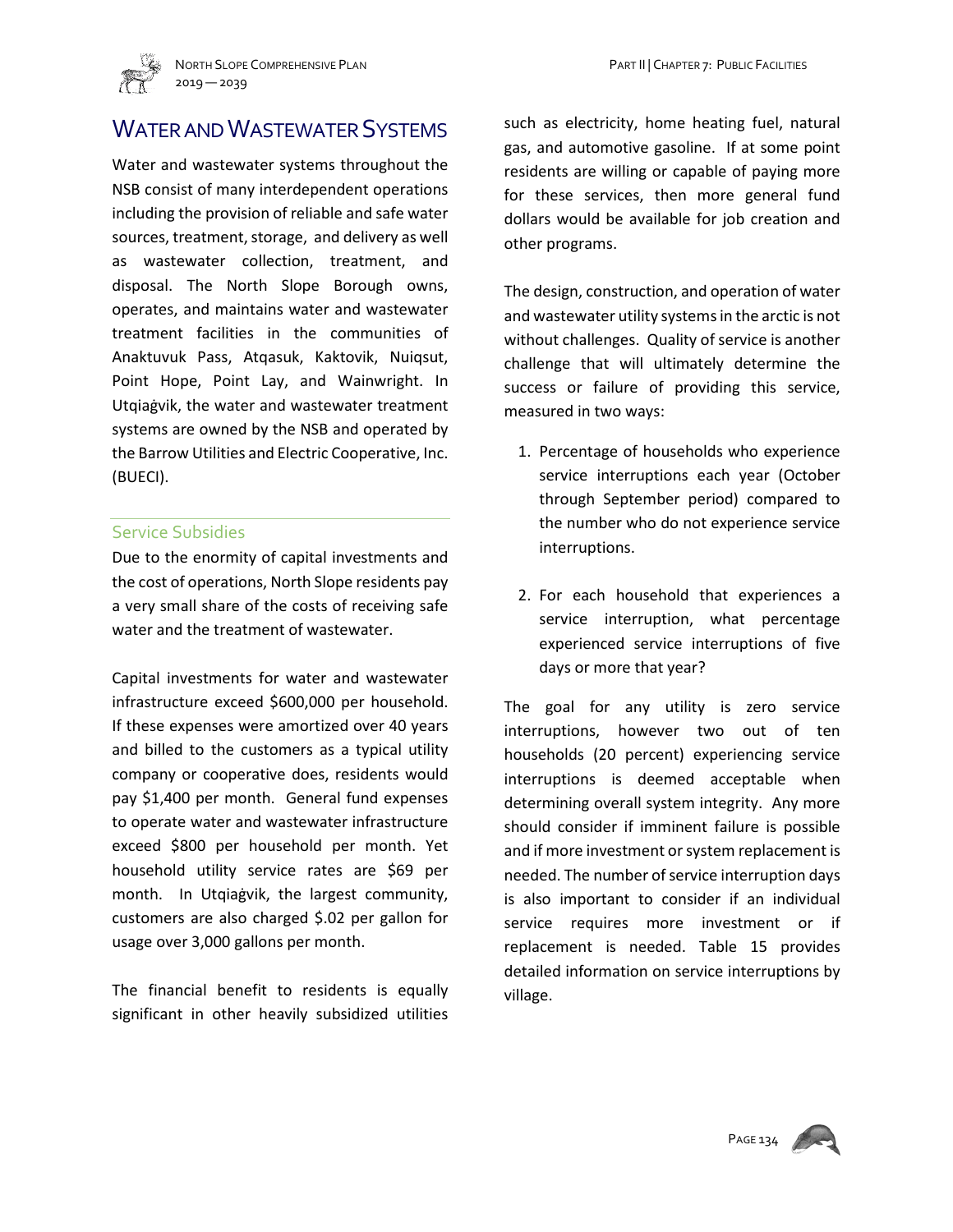## WATER AND WASTEWATER SYSTEMS

Water and wastewater systems throughout the NSB consist of many interdependent operations including the provision of reliable and safe water sources, treatment, storage, and delivery as well as wastewater collection, treatment, and disposal. The North Slope Borough owns, operates, and maintains water and wastewater treatment facilities in the communities of Anaktuvuk Pass, Atqasuk, Kaktovik, Nuiqsut, Point Hope, Point Lay, and Wainwright. In Utqiaġvik, the water and wastewater treatment systems are owned by the NSB and operated by the Barrow Utilities and Electric Cooperative, Inc. (BUECI).

## Service Subsidies

Due to the enormity of capital investments and the cost of operations, North Slope residents pay a very small share of the costs of receiving safe water and the treatment of wastewater.

Capital investments for water and wastewater infrastructure exceed \$600,000 per household. If these expenses were amortized over 40 years and billed to the customers as a typical utility company or cooperative does, residents would pay \$1,400 per month. General fund expenses to operate water and wastewater infrastructure exceed \$800 per household per month. Yet household utility service rates are \$69 per month. In Utqiaġvik, the largest community, customers are also charged \$.02 per gallon for usage over 3,000 gallons per month.

The financial benefit to residents is equally significant in other heavily subsidized utilities

such as electricity, home heating fuel, natural gas, and automotive gasoline. If at some point residents are willing or capable of paying more for these services, then more general fund dollars would be available for job creation and other programs.

The design, construction, and operation of water and wastewater utility systems in the arctic is not without challenges. Quality of service is another challenge that will ultimately determine the success or failure of providing this service, measured in two ways:

- 1. Percentage of households who experience service interruptions each year (October through September period) compared to the number who do not experience service interruptions.
- 2. For each household that experiences a service interruption, what percentage experienced service interruptions of five days or more that year?

The goal for any utility is zero service interruptions, however two out of ten households (20 percent) experiencing service interruptions is deemed acceptable when determining overall system integrity. Any more should consider if imminent failure is possible and if more investment or system replacement is needed. The number of service interruption days is also important to consider if an individual service requires more investment or if replacement is needed. Table 15 provides detailed information on service interruptions by village.

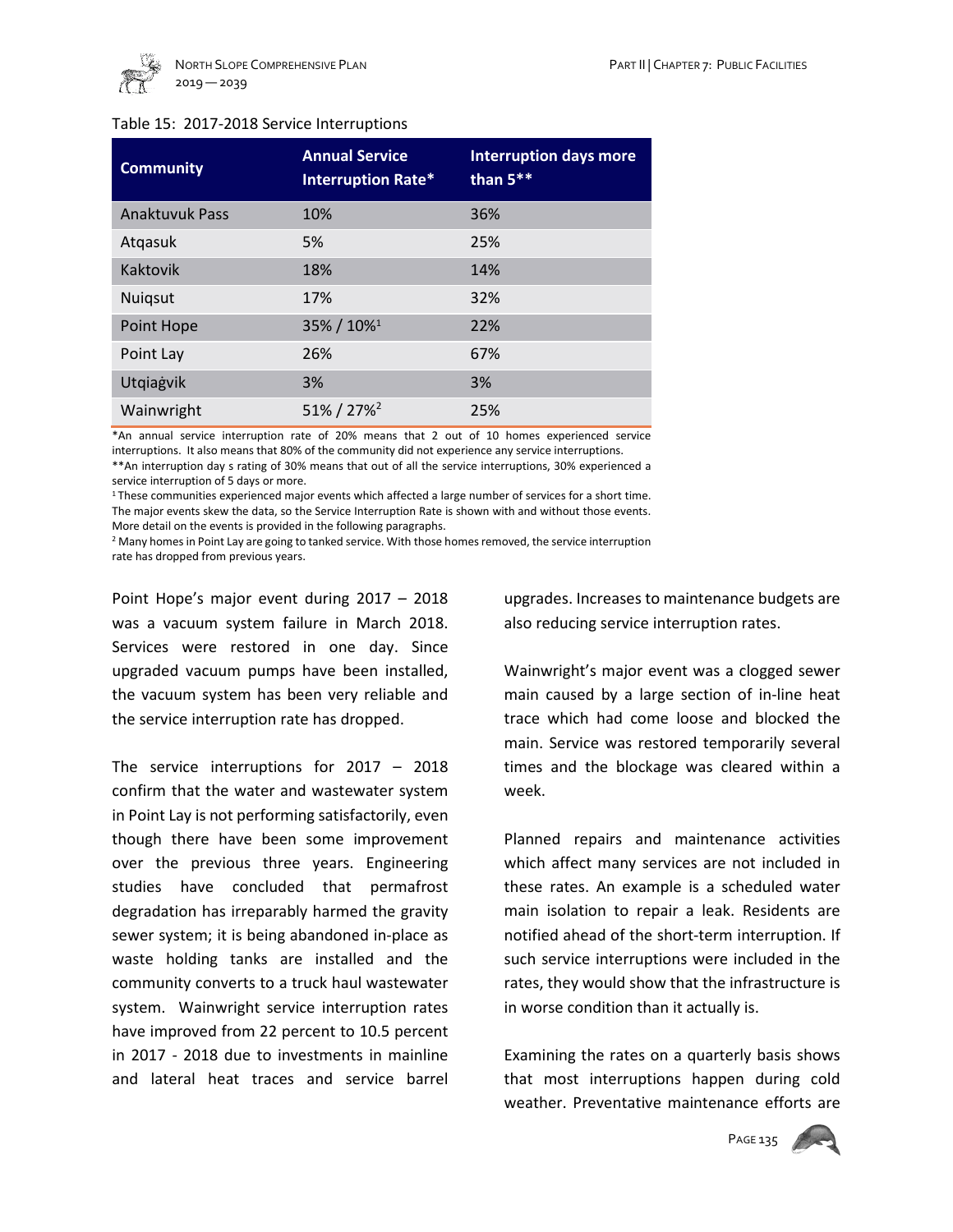#### Table 15: 2017-2018 Service Interruptions

| <b>Community</b>      | <b>Annual Service</b><br><b>Interruption Rate*</b> | <b>Interruption days more</b><br>than $5**$ |  |
|-----------------------|----------------------------------------------------|---------------------------------------------|--|
| <b>Anaktuvuk Pass</b> | 10%                                                | 36%                                         |  |
| Atgasuk               | 5%                                                 | 25%                                         |  |
| Kaktovik              | 18%                                                | 14%                                         |  |
| Nuigsut               | 17%                                                | 32%                                         |  |
| Point Hope            | 35% / 10% <sup>1</sup>                             | 22%                                         |  |
| Point Lay             | 26%                                                | 67%                                         |  |
| Utgiagvik             | 3%                                                 | 3%                                          |  |
| Wainwright            | 51% / 27% <sup>2</sup>                             | 25%                                         |  |

\*An annual service interruption rate of 20% means that 2 out of 10 homes experienced service interruptions. It also means that 80% of the community did not experience any service interruptions. \*\*An interruption day s rating of 30% means that out of all the service interruptions, 30% experienced a service interruption of 5 days or more.

1 These communities experienced major events which affected a large number of services for a short time. The major events skew the data, so the Service Interruption Rate is shown with and without those events. More detail on the events is provided in the following paragraphs.

<sup>2</sup> Many homes in Point Lay are going to tanked service. With those homes removed, the service interruption rate has dropped from previous years.

Point Hope's major event during 2017 – 2018 was a vacuum system failure in March 2018. Services were restored in one day. Since upgraded vacuum pumps have been installed, the vacuum system has been very reliable and the service interruption rate has dropped.

The service interruptions for 2017 – 2018 confirm that the water and wastewater system in Point Lay is not performing satisfactorily, even though there have been some improvement over the previous three years. Engineering studies have concluded that permafrost degradation has irreparably harmed the gravity sewer system; it is being abandoned in-place as waste holding tanks are installed and the community converts to a truck haul wastewater system. Wainwright service interruption rates have improved from 22 percent to 10.5 percent in 2017 - 2018 due to investments in mainline and lateral heat traces and service barrel

upgrades. Increases to maintenance budgets are also reducing service interruption rates.

Wainwright's major event was a clogged sewer main caused by a large section of in-line heat trace which had come loose and blocked the main. Service was restored temporarily several times and the blockage was cleared within a week.

Planned repairs and maintenance activities which affect many services are not included in these rates. An example is a scheduled water main isolation to repair a leak. Residents are notified ahead of the short-term interruption. If such service interruptions were included in the rates, they would show that the infrastructure is in worse condition than it actually is.

Examining the rates on a quarterly basis shows that most interruptions happen during cold weather. Preventative maintenance efforts are

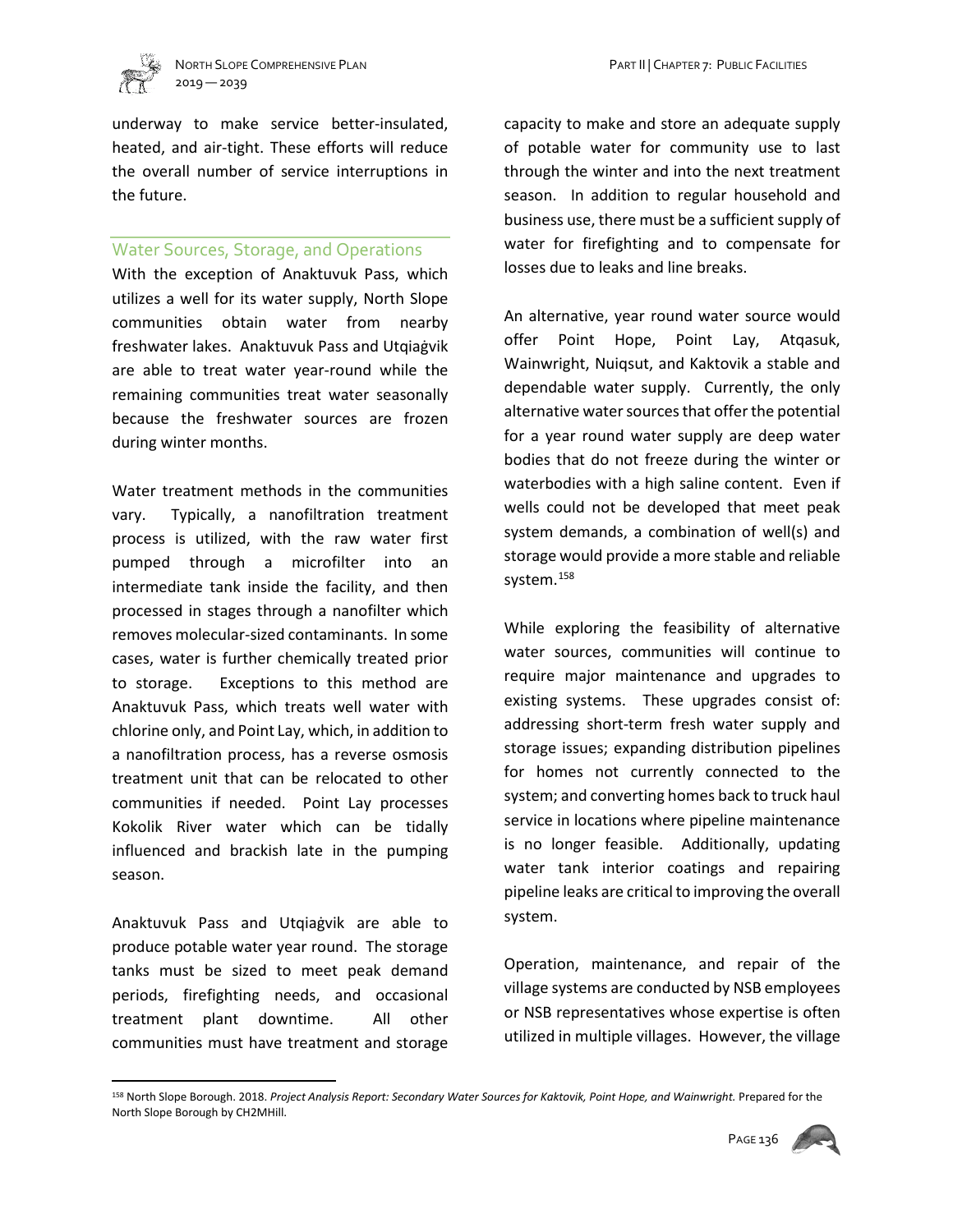

underway to make service better-insulated, heated, and air-tight. These efforts will reduce the overall number of service interruptions in the future.

## Water Sources, Storage, and Operations

With the exception of Anaktuvuk Pass, which utilizes a well for its water supply, North Slope communities obtain water from nearby freshwater lakes. Anaktuvuk Pass and Utqiaġvik are able to treat water year-round while the remaining communities treat water seasonally because the freshwater sources are frozen during winter months.

Water treatment methods in the communities vary. Typically, a nanofiltration treatment process is utilized, with the raw water first pumped through a microfilter into an intermediate tank inside the facility, and then processed in stages through a nanofilter which removes molecular-sized contaminants. In some cases, water is further chemically treated prior to storage. Exceptions to this method are Anaktuvuk Pass, which treats well water with chlorine only, and Point Lay, which, in addition to a nanofiltration process, has a reverse osmosis treatment unit that can be relocated to other communities if needed. Point Lay processes Kokolik River water which can be tidally influenced and brackish late in the pumping season.

Anaktuvuk Pass and Utqiaġvik are able to produce potable water year round. The storage tanks must be sized to meet peak demand periods, firefighting needs, and occasional treatment plant downtime. All other communities must have treatment and storage

 $\overline{\phantom{a}}$ 

capacity to make and store an adequate supply of potable water for community use to last through the winter and into the next treatment season. In addition to regular household and business use, there must be a sufficient supply of water for firefighting and to compensate for losses due to leaks and line breaks.

An alternative, year round water source would offer Point Hope, Point Lay, Atqasuk, Wainwright, Nuiqsut, and Kaktovik a stable and dependable water supply. Currently, the only alternative water sources that offer the potential for a year round water supply are deep water bodies that do not freeze during the winter or waterbodies with a high saline content. Even if wells could not be developed that meet peak system demands, a combination of well(s) and storage would provide a more stable and reliable system.<sup>[158](#page-8-0)</sup>

While exploring the feasibility of alternative water sources, communities will continue to require major maintenance and upgrades to existing systems. These upgrades consist of: addressing short-term fresh water supply and storage issues; expanding distribution pipelines for homes not currently connected to the system; and converting homes back to truck haul service in locations where pipeline maintenance is no longer feasible. Additionally, updating water tank interior coatings and repairing pipeline leaks are critical to improving the overall system.

Operation, maintenance, and repair of the village systems are conducted by NSB employees or NSB representatives whose expertise is often utilized in multiple villages. However, the village

<span id="page-8-0"></span><sup>158</sup> North Slope Borough. 2018. Project Analysis Report: Secondary Water Sources for Kaktovik, Point Hope, and Wainwright. Prepared for the North Slope Borough by CH2MHill.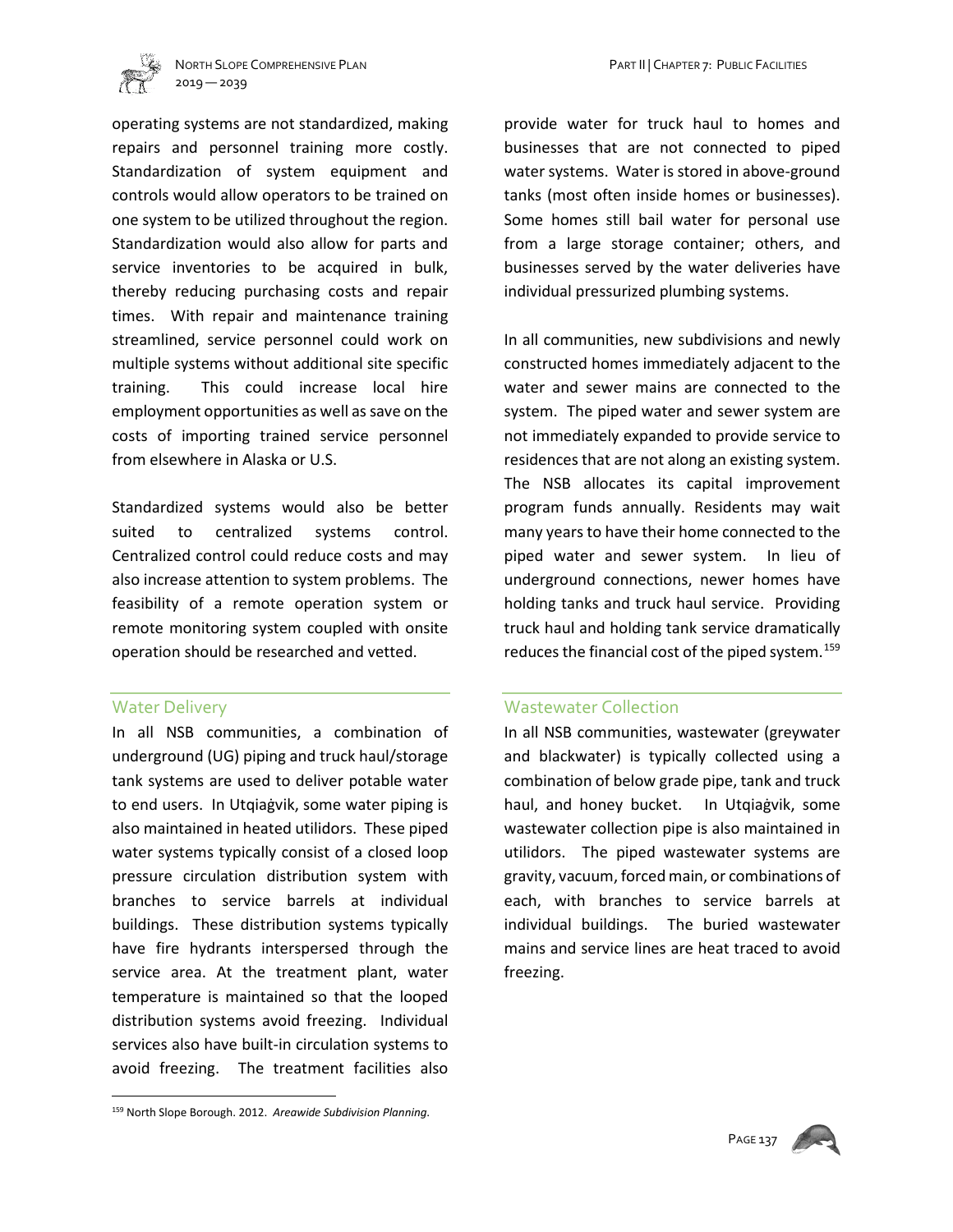

operating systems are not standardized, making repairs and personnel training more costly. Standardization of system equipment and controls would allow operators to be trained on one system to be utilized throughout the region. Standardization would also allow for parts and service inventories to be acquired in bulk, thereby reducing purchasing costs and repair times. With repair and maintenance training streamlined, service personnel could work on multiple systems without additional site specific training. This could increase local hire employment opportunities as well as save on the costs of importing trained service personnel from elsewhere in Alaska or U.S.

Standardized systems would also be better suited to centralized systems control. Centralized control could reduce costs and may also increase attention to system problems. The feasibility of a remote operation system or remote monitoring system coupled with onsite operation should be researched and vetted.

#### Water Delivery

 $\overline{\phantom{a}}$ 

In all NSB communities, a combination of underground (UG) piping and truck haul/storage tank systems are used to deliver potable water to end users. In Utqiaġvik, some water piping is also maintained in heated utilidors. These piped water systems typically consist of a closed loop pressure circulation distribution system with branches to service barrels at individual buildings. These distribution systems typically have fire hydrants interspersed through the service area. At the treatment plant, water temperature is maintained so that the looped distribution systems avoid freezing. Individual services also have built-in circulation systems to avoid freezing. The treatment facilities also

provide water for truck haul to homes and businesses that are not connected to piped water systems. Water is stored in above-ground tanks (most often inside homes or businesses). Some homes still bail water for personal use from a large storage container; others, and businesses served by the water deliveries have individual pressurized plumbing systems.

In all communities, new subdivisions and newly constructed homes immediately adjacent to the water and sewer mains are connected to the system. The piped water and sewer system are not immediately expanded to provide service to residences that are not along an existing system. The NSB allocates its capital improvement program funds annually. Residents may wait many years to have their home connected to the piped water and sewer system. In lieu of underground connections, newer homes have holding tanks and truck haul service. Providing truck haul and holding tank service dramatically reduces the financial cost of the piped system.<sup>[159](#page-9-0)</sup>

#### Wastewater Collection

In all NSB communities, wastewater (greywater and blackwater) is typically collected using a combination of below grade pipe, tank and truck haul, and honey bucket. In Utqiaġvik, some wastewater collection pipe is also maintained in utilidors. The piped wastewater systems are gravity, vacuum, forced main, or combinations of each, with branches to service barrels at individual buildings. The buried wastewater mains and service lines are heat traced to avoid freezing.



<span id="page-9-0"></span><sup>159</sup> North Slope Borough. 2012. *Areawide Subdivision Planning*.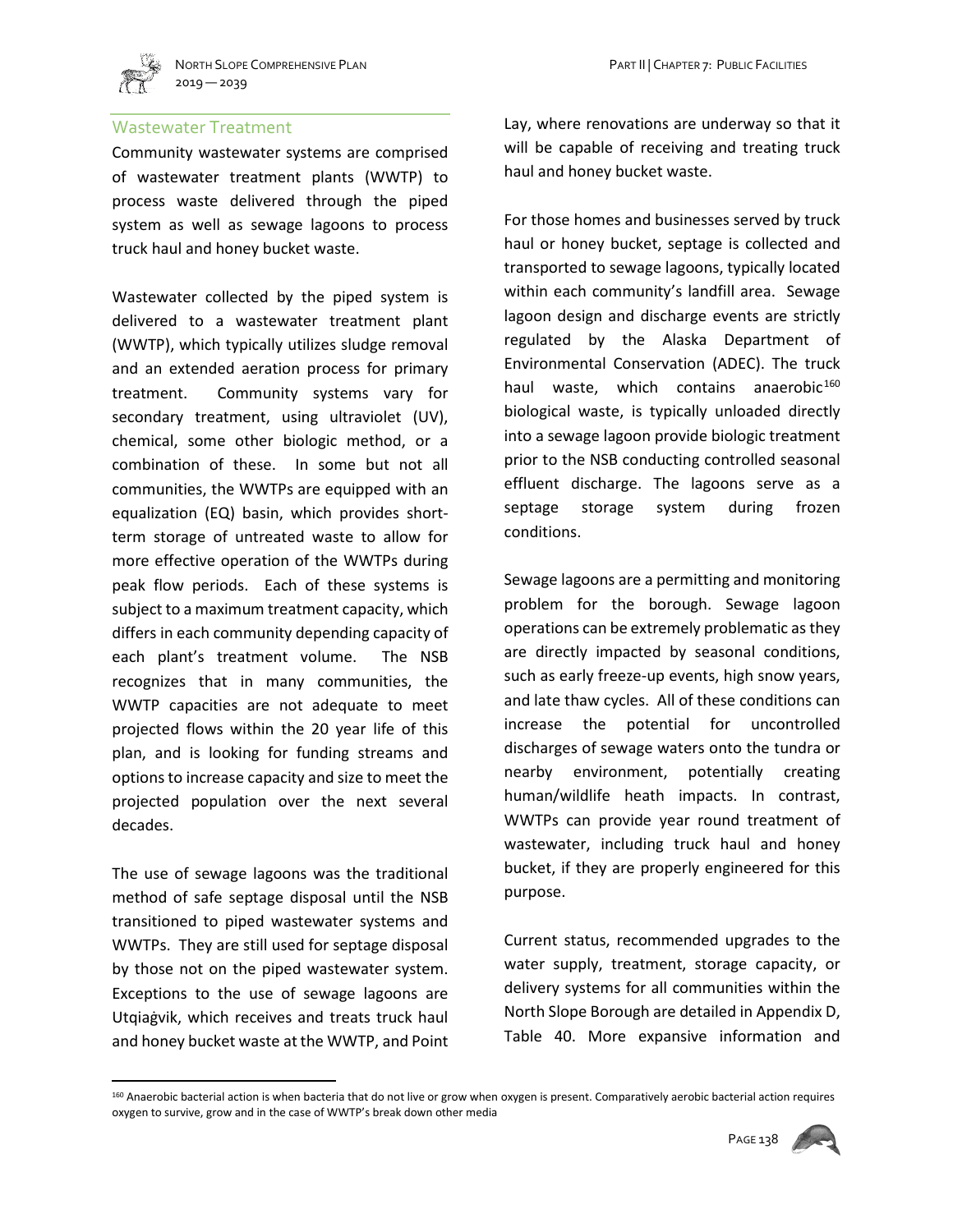

## Wastewater Treatment

Community wastewater systems are comprised of wastewater treatment plants (WWTP) to process waste delivered through the piped system as well as sewage lagoons to process truck haul and honey bucket waste.

Wastewater collected by the piped system is delivered to a wastewater treatment plant (WWTP), which typically utilizes sludge removal and an extended aeration process for primary treatment. Community systems vary for secondary treatment, using ultraviolet (UV), chemical, some other biologic method, or a combination of these. In some but not all communities, the WWTPs are equipped with an equalization (EQ) basin, which provides shortterm storage of untreated waste to allow for more effective operation of the WWTPs during peak flow periods. Each of these systems is subject to a maximum treatment capacity, which differs in each community depending capacity of each plant's treatment volume. The NSB recognizes that in many communities, the WWTP capacities are not adequate to meet projected flows within the 20 year life of this plan, and is looking for funding streams and options to increase capacity and size to meet the projected population over the next several decades.

The use of sewage lagoons was the traditional method of safe septage disposal until the NSB transitioned to piped wastewater systems and WWTPs. They are still used for septage disposal by those not on the piped wastewater system. Exceptions to the use of sewage lagoons are Utqiaġvik, which receives and treats truck haul and honey bucket waste at the WWTP, and Point

 $\overline{\phantom{a}}$ 

Lay, where renovations are underway so that it will be capable of receiving and treating truck haul and honey bucket waste.

For those homes and businesses served by truck haul or honey bucket, septage is collected and transported to sewage lagoons, typically located within each community's landfill area. Sewage lagoon design and discharge events are strictly regulated by the Alaska Department of Environmental Conservation (ADEC). The truck haul waste, which contains anaerobic<sup>[160](#page-10-0)</sup> biological waste, is typically unloaded directly into a sewage lagoon provide biologic treatment prior to the NSB conducting controlled seasonal effluent discharge. The lagoons serve as a septage storage system during frozen conditions.

Sewage lagoons are a permitting and monitoring problem for the borough. Sewage lagoon operations can be extremely problematic as they are directly impacted by seasonal conditions, such as early freeze-up events, high snow years, and late thaw cycles. All of these conditions can increase the potential for uncontrolled discharges of sewage waters onto the tundra or nearby environment, potentially creating human/wildlife heath impacts. In contrast, WWTPs can provide year round treatment of wastewater, including truck haul and honey bucket, if they are properly engineered for this purpose.

Current status, recommended upgrades to the water supply, treatment, storage capacity, or delivery systems for all communities within the North Slope Borough are detailed in Appendix D, Table 40. More expansive information and

<span id="page-10-0"></span><sup>160</sup> Anaerobic bacterial action is when bacteria that do not live or grow when oxygen is present. Comparatively aerobic bacterial action requires oxygen to survive, grow and in the case of WWTP's break down other media

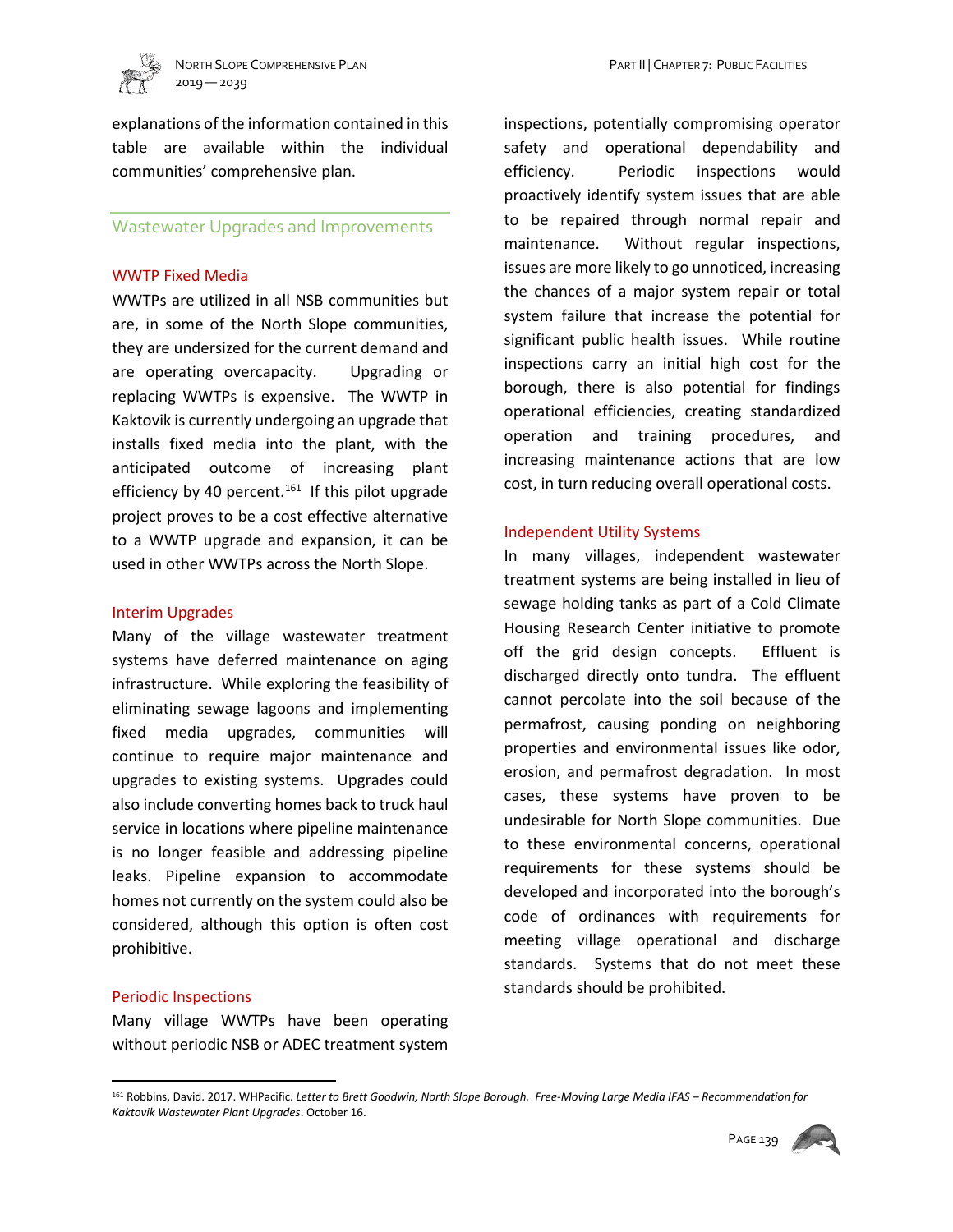

explanations of the information contained in this table are available within the individual communities' comprehensive plan.

### Wastewater Upgrades and Improvements

#### WWTP Fixed Media

WWTPs are utilized in all NSB communities but are, in some of the North Slope communities, they are undersized for the current demand and are operating overcapacity. Upgrading or replacing WWTPs is expensive. The WWTP in Kaktovik is currently undergoing an upgrade that installs fixed media into the plant, with the anticipated outcome of increasing plant efficiency by 40 percent.<sup>161</sup> If this pilot upgrade project proves to be a cost effective alternative to a WWTP upgrade and expansion, it can be used in other WWTPs across the North Slope.

#### Interim Upgrades

Many of the village wastewater treatment systems have deferred maintenance on aging infrastructure. While exploring the feasibility of eliminating sewage lagoons and implementing fixed media upgrades, communities will continue to require major maintenance and upgrades to existing systems. Upgrades could also include converting homes back to truck haul service in locations where pipeline maintenance is no longer feasible and addressing pipeline leaks. Pipeline expansion to accommodate homes not currently on the system could also be considered, although this option is often cost prohibitive.

#### Periodic Inspections

 $\overline{\phantom{a}}$ 

Many village WWTPs have been operating without periodic NSB or ADEC treatment system

inspections, potentially compromising operator safety and operational dependability and efficiency. Periodic inspections would proactively identify system issues that are able to be repaired through normal repair and maintenance. Without regular inspections, issues are more likely to go unnoticed, increasing the chances of a major system repair or total system failure that increase the potential for significant public health issues. While routine inspections carry an initial high cost for the borough, there is also potential for findings operational efficiencies, creating standardized operation and training procedures, and increasing maintenance actions that are low cost, in turn reducing overall operational costs.

#### Independent Utility Systems

In many villages, independent wastewater treatment systems are being installed in lieu of sewage holding tanks as part of a Cold Climate Housing Research Center initiative to promote off the grid design concepts. Effluent is discharged directly onto tundra. The effluent cannot percolate into the soil because of the permafrost, causing ponding on neighboring properties and environmental issues like odor, erosion, and permafrost degradation. In most cases, these systems have proven to be undesirable for North Slope communities. Due to these environmental concerns, operational requirements for these systems should be developed and incorporated into the borough's code of ordinances with requirements for meeting village operational and discharge standards. Systems that do not meet these standards should be prohibited.

<span id="page-11-0"></span><sup>161</sup> Robbins, David. 2017. WHPacific. *Letter to Brett Goodwin, North Slope Borough. Free-Moving Large Media IFAS – Recommendation for Kaktovik Wastewater Plant Upgrades*. October 16.

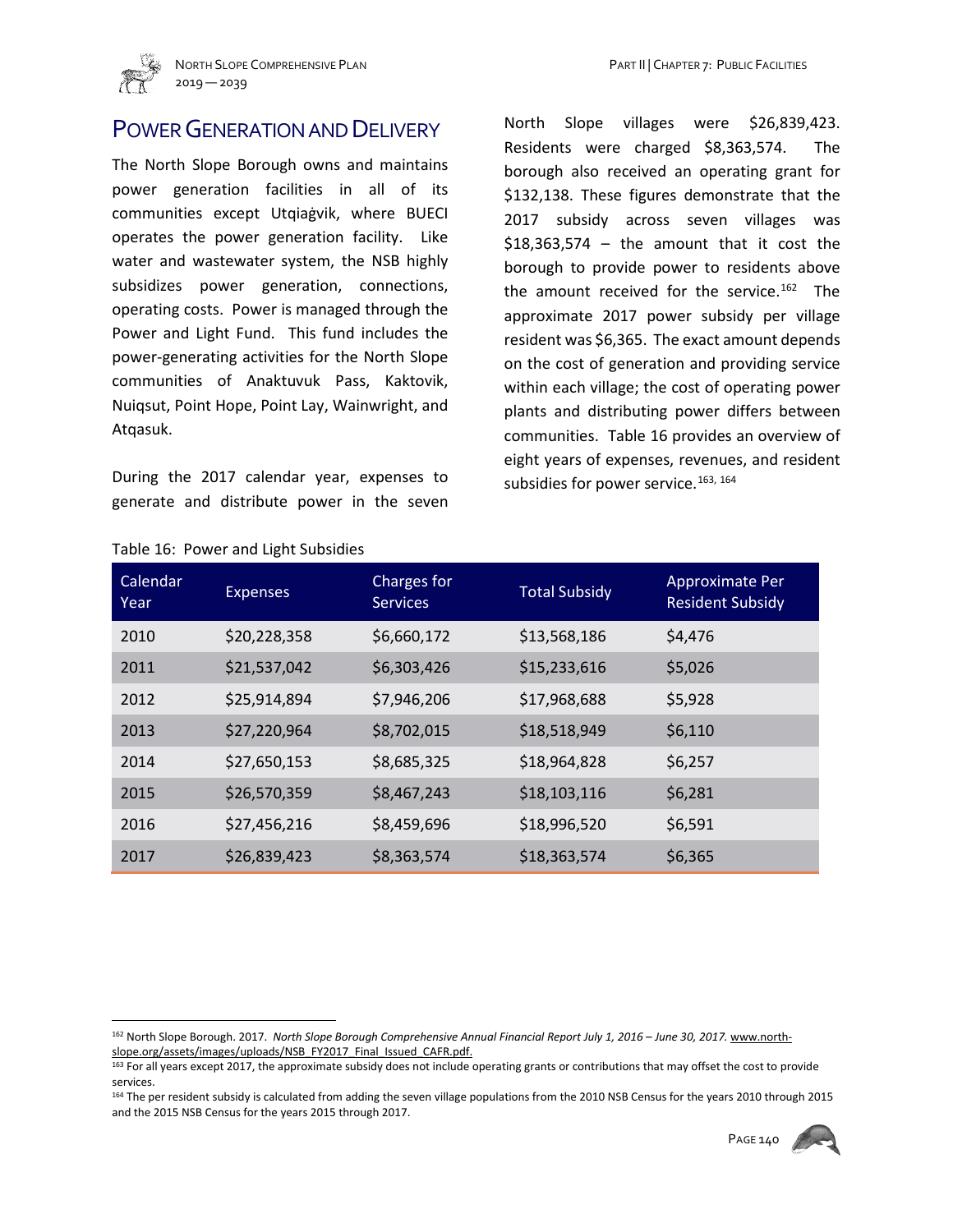NORTH SLOPE COMPREHENSIVE PLAN PART II | CHAPTER 7: PUBLIC FACILITIES 2019 — 2039

## POWER GENERATION AND DELIVERY

The North Slope Borough owns and maintains power generation facilities in all of its communities except Utqiaġvik, where BUECI operates the power generation facility. Like water and wastewater system, the NSB highly subsidizes power generation, connections, operating costs. Power is managed through the Power and Light Fund. This fund includes the power-generating activities for the North Slope communities of Anaktuvuk Pass, Kaktovik, Nuiqsut, Point Hope, Point Lay, Wainwright, and Atqasuk.

During the 2017 calendar year, expenses to generate and distribute power in the seven

North Slope villages were \$26,839,423. Residents were charged \$8,363,574. The borough also received an operating grant for \$132,138. These figures demonstrate that the 2017 subsidy across seven villages was  $$18,363,574$  – the amount that it cost the borough to provide power to residents above the amount received for the service. $162$  The approximate 2017 power subsidy per village resident was \$6,365. The exact amount depends on the cost of generation and providing service within each village; the cost of operating power plants and distributing power differs between communities. Table 16 provides an overview of eight years of expenses, revenues, and resident subsidies for power service.<sup>[163,](#page-12-1) [164](#page-12-2)</sup>

| Calendar<br>Year | <b>Expenses</b> | Charges for<br><b>Services</b> | <b>Total Subsidy</b> | <b>Approximate Per</b><br><b>Resident Subsidy</b> |
|------------------|-----------------|--------------------------------|----------------------|---------------------------------------------------|
| 2010             | \$20,228,358    | \$6,660,172                    | \$13,568,186         | \$4,476                                           |
| 2011             | \$21,537,042    | \$6,303,426                    | \$15,233,616         | \$5,026                                           |
| 2012             | \$25,914,894    | \$7,946,206                    | \$17,968,688         | \$5,928                                           |
| 2013             | \$27,220,964    | \$8,702,015                    | \$18,518,949         | \$6,110                                           |
| 2014             | \$27,650,153    | \$8,685,325                    | \$18,964,828         | \$6,257                                           |
| 2015             | \$26,570,359    | \$8,467,243                    | \$18,103,116         | \$6,281                                           |
| 2016             | \$27,456,216    | \$8,459,696                    | \$18,996,520         | \$6,591                                           |
| 2017             | \$26,839,423    | \$8,363,574                    | \$18,363,574         | \$6,365                                           |

#### Table 16: Power and Light Subsidies

 $\overline{\phantom{a}}$ 

<span id="page-12-0"></span><sup>162</sup> North Slope Borough. 2017. North Slope Borough Comprehensive Annual Financial Report July 1, 2016 - June 30, 2017. www.northslope.org/assets/images/uploads/NSB\_FY2017\_Final\_Issued\_CAFR.pdf.

<span id="page-12-1"></span><sup>&</sup>lt;sup>163</sup> For all years except 2017, the approximate subsidy does not include operating grants or contributions that may offset the cost to provide services.

<span id="page-12-2"></span><sup>&</sup>lt;sup>164</sup> The per resident subsidy is calculated from adding the seven village populations from the 2010 NSB Census for the years 2010 through 2015 and the 2015 NSB Census for the years 2015 through 2017.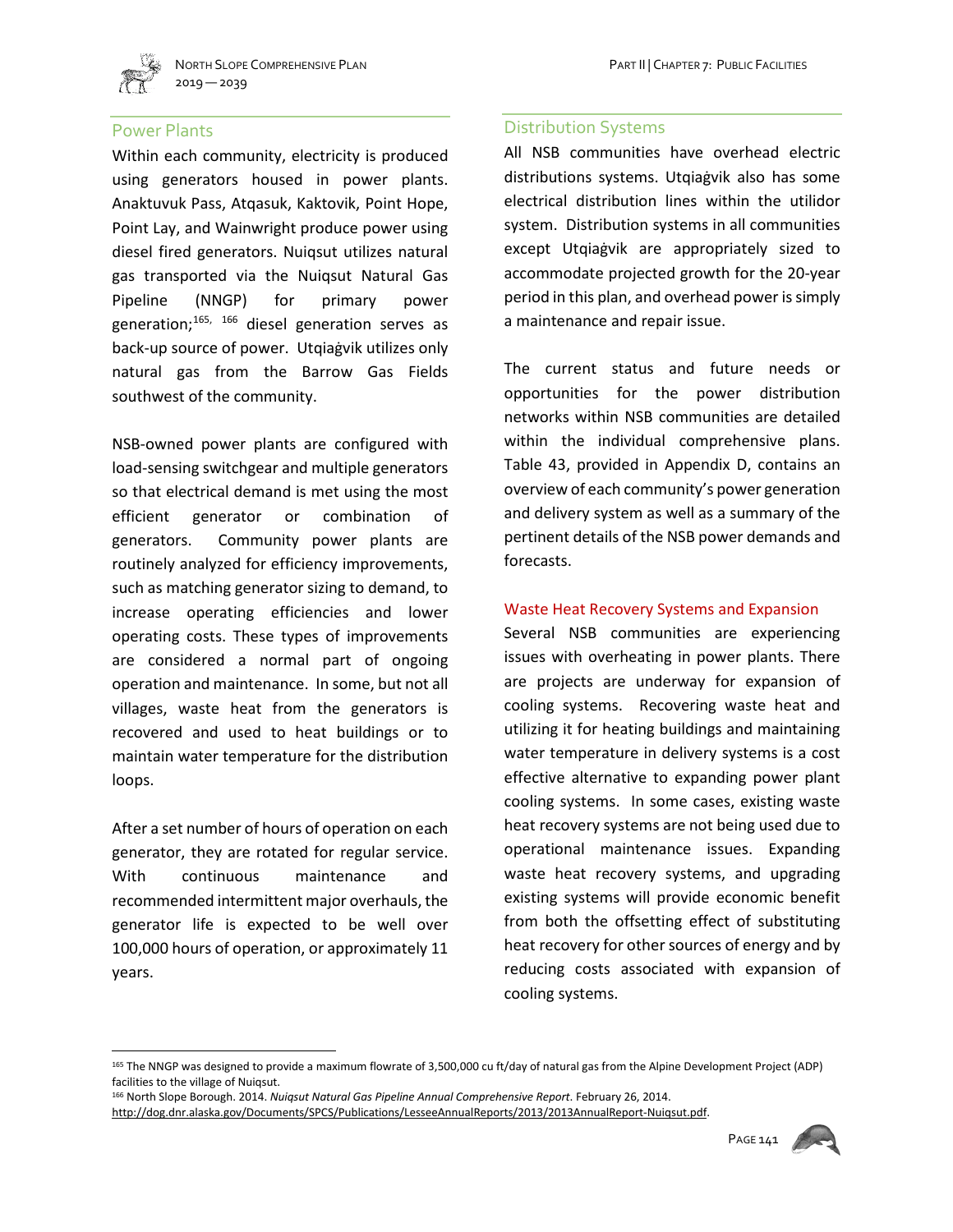### Power Plants

Within each community, electricity is produced using generators housed in power plants. Anaktuvuk Pass, Atqasuk, Kaktovik, Point Hope, Point Lay, and Wainwright produce power using diesel fired generators. Nuiqsut utilizes natural gas transported via the Nuiqsut Natural Gas Pipeline (NNGP) for primary power generation; [165,](#page-13-0) [166](#page-13-1) diesel generation serves as back-up source of power. Utqiaġvik utilizes only natural gas from the Barrow Gas Fields southwest of the community.

NSB-owned power plants are configured with load-sensing switchgear and multiple generators so that electrical demand is met using the most efficient generator or combination of generators. Community power plants are routinely analyzed for efficiency improvements, such as matching generator sizing to demand, to increase operating efficiencies and lower operating costs. These types of improvements are considered a normal part of ongoing operation and maintenance. In some, but not all villages, waste heat from the generators is recovered and used to heat buildings or to maintain water temperature for the distribution loops.

After a set number of hours of operation on each generator, they are rotated for regular service. With continuous maintenance and recommended intermittent major overhauls, the generator life is expected to be well over 100,000 hours of operation, or approximately 11 years.

 $\overline{\phantom{a}}$ 

## Distribution Systems

All NSB communities have overhead electric distributions systems. Utqiaġvik also has some electrical distribution lines within the utilidor system. Distribution systems in all communities except Utqiaġvik are appropriately sized to accommodate projected growth for the 20-year period in this plan, and overhead power is simply a maintenance and repair issue.

The current status and future needs or opportunities for the power distribution networks within NSB communities are detailed within the individual comprehensive plans. Table 43, provided in Appendix D, contains an overview of each community's power generation and delivery system as well as a summary of the pertinent details of the NSB power demands and forecasts.

#### Waste Heat Recovery Systems and Expansion

Several NSB communities are experiencing issues with overheating in power plants. There are projects are underway for expansion of cooling systems. Recovering waste heat and utilizing it for heating buildings and maintaining water temperature in delivery systems is a cost effective alternative to expanding power plant cooling systems. In some cases, existing waste heat recovery systems are not being used due to operational maintenance issues. Expanding waste heat recovery systems, and upgrading existing systems will provide economic benefit from both the offsetting effect of substituting heat recovery for other sources of energy and by reducing costs associated with expansion of cooling systems.

[http://dog.dnr.alaska.gov/Documents/SPCS/Publications/LesseeAnnualReports/2013/2013AnnualReport-Nuiqsut.pdf.](http://dog.dnr.alaska.gov/Documents/SPCS/Publications/LesseeAnnualReports/2013/2013AnnualReport-Nuiqsut.pdf)



<span id="page-13-0"></span><sup>165</sup> The NNGP was designed to provide a maximum flowrate of 3,500,000 cu ft/day of natural gas from the Alpine Development Project (ADP) facilities to the village of Nuiqsut.

<span id="page-13-1"></span><sup>166</sup> North Slope Borough. 2014. *Nuiqsut Natural Gas Pipeline Annual Comprehensive Report*. February 26, 2014.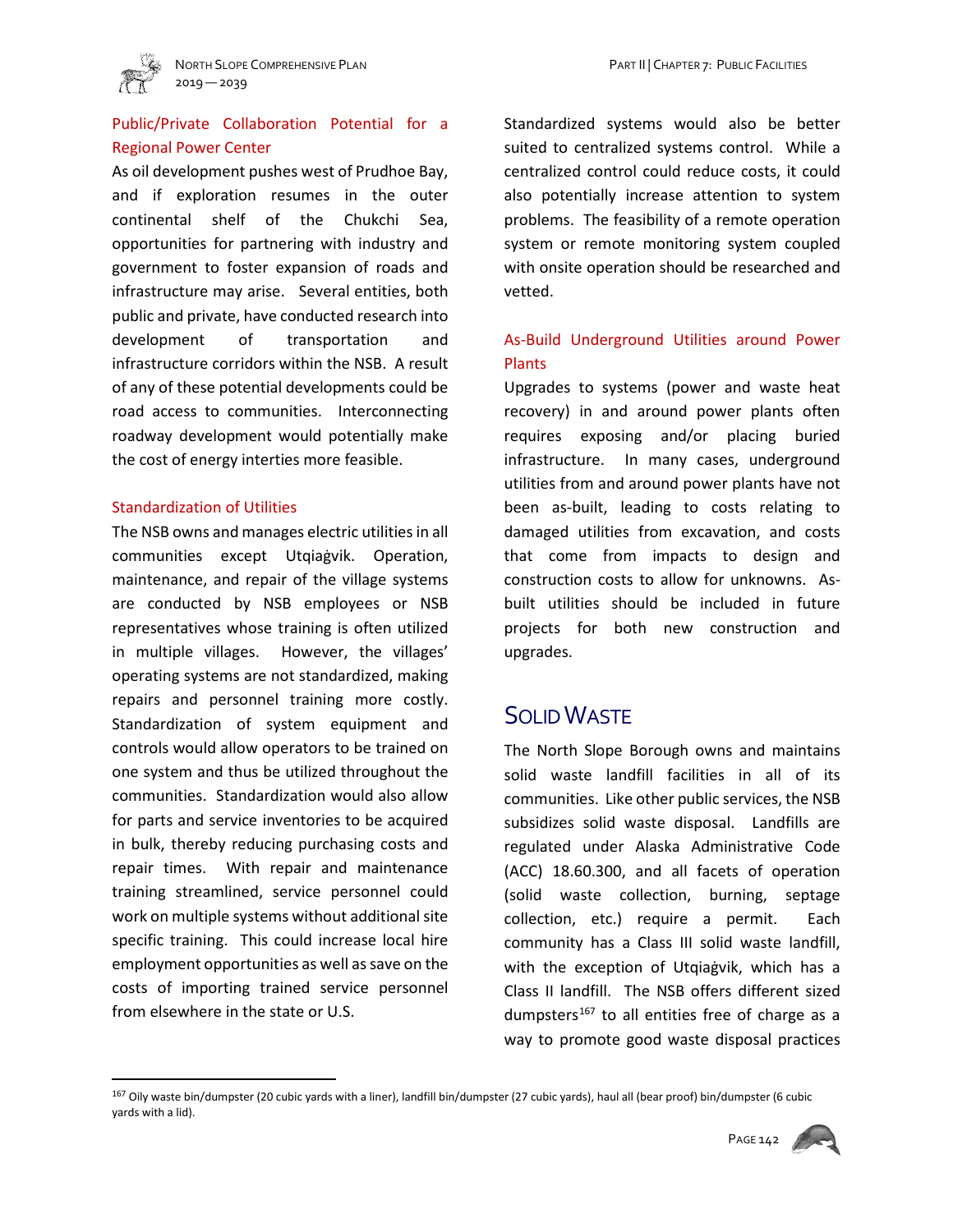

## Public/Private Collaboration Potential for a Regional Power Center

As oil development pushes west of Prudhoe Bay, and if exploration resumes in the outer continental shelf of the Chukchi Sea, opportunities for partnering with industry and government to foster expansion of roads and infrastructure may arise. Several entities, both public and private, have conducted research into development of transportation and infrastructure corridors within the NSB. A result of any of these potential developments could be road access to communities. Interconnecting roadway development would potentially make the cost of energy interties more feasible.

#### Standardization of Utilities

l

The NSB owns and manages electric utilities in all communities except Utqiaġvik. Operation, maintenance, and repair of the village systems are conducted by NSB employees or NSB representatives whose training is often utilized in multiple villages. However, the villages' operating systems are not standardized, making repairs and personnel training more costly. Standardization of system equipment and controls would allow operators to be trained on one system and thus be utilized throughout the communities. Standardization would also allow for parts and service inventories to be acquired in bulk, thereby reducing purchasing costs and repair times. With repair and maintenance training streamlined, service personnel could work on multiple systems without additional site specific training. This could increase local hire employment opportunities as well as save on the costs of importing trained service personnel from elsewhere in the state or U.S.

Standardized systems would also be better suited to centralized systems control. While a centralized control could reduce costs, it could also potentially increase attention to system problems. The feasibility of a remote operation system or remote monitoring system coupled with onsite operation should be researched and vetted.

## As-Build Underground Utilities around Power Plants

Upgrades to systems (power and waste heat recovery) in and around power plants often requires exposing and/or placing buried infrastructure. In many cases, underground utilities from and around power plants have not been as-built, leading to costs relating to damaged utilities from excavation, and costs that come from impacts to design and construction costs to allow for unknowns. Asbuilt utilities should be included in future projects for both new construction and upgrades.

## **SOLID WASTE**

The North Slope Borough owns and maintains solid waste landfill facilities in all of its communities. Like other public services, the NSB subsidizes solid waste disposal. Landfills are regulated under Alaska Administrative Code (ACC) 18.60.300, and all facets of operation (solid waste collection, burning, septage collection, etc.) require a permit. Each community has a Class III solid waste landfill, with the exception of Utqiaġvik, which has a Class II landfill. The NSB offers different sized dumpsters<sup>[167](#page-14-0)</sup> to all entities free of charge as a way to promote good waste disposal practices

<span id="page-14-0"></span><sup>167</sup> Oily waste bin/dumpster (20 cubic yards with a liner), landfill bin/dumpster (27 cubic yards), haul all (bear proof) bin/dumpster (6 cubic yards with a lid).

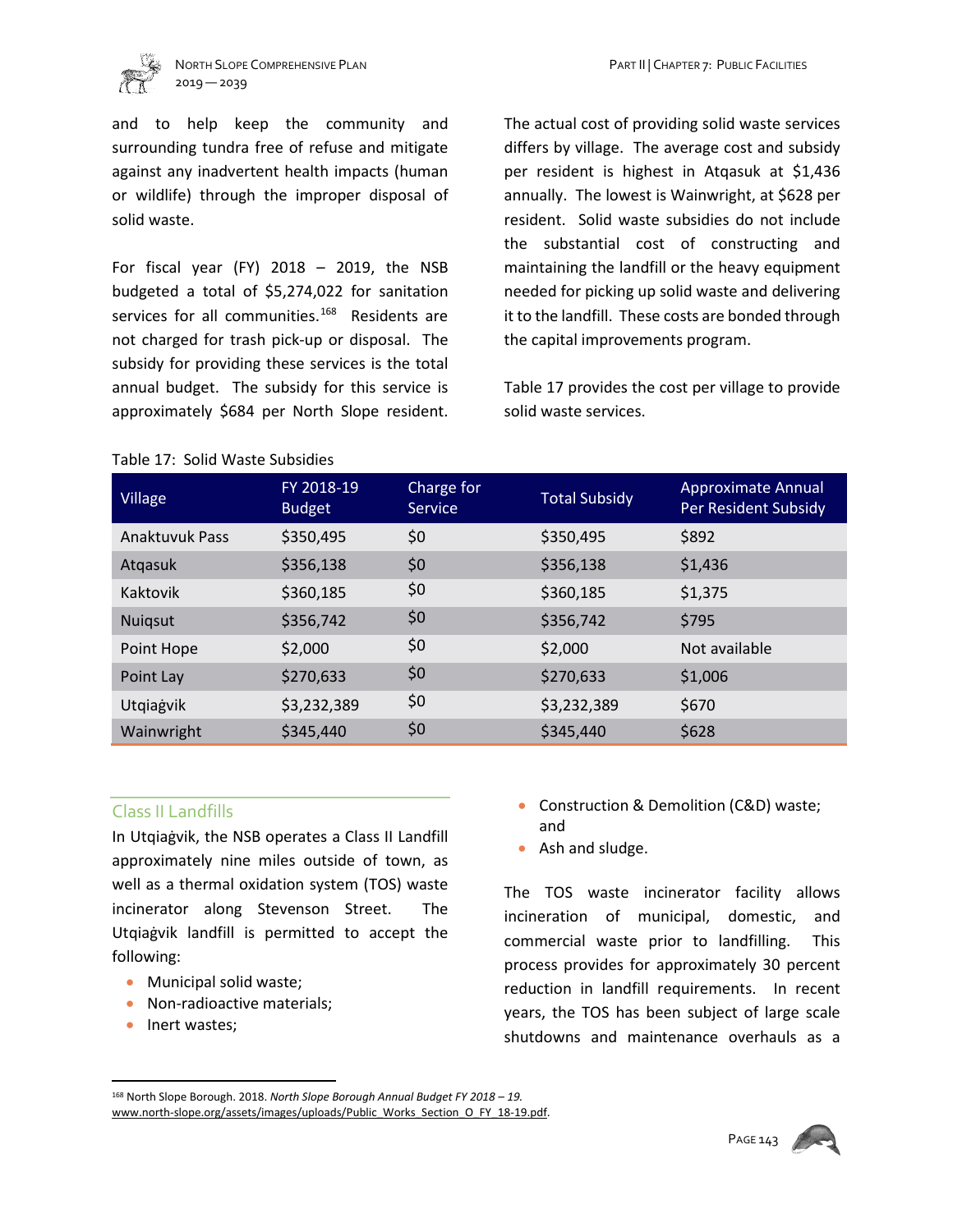

and to help keep the community and surrounding tundra free of refuse and mitigate against any inadvertent health impacts (human or wildlife) through the improper disposal of solid waste.

For fiscal year (FY)  $2018 - 2019$ , the NSB budgeted a total of \$5,274,022 for sanitation services for all communities.<sup>[168](#page-15-0)</sup> Residents are not charged for trash pick-up or disposal. The subsidy for providing these services is the total annual budget. The subsidy for this service is approximately \$684 per North Slope resident.

The actual cost of providing solid waste services differs by village. The average cost and subsidy per resident is highest in Atqasuk at \$1,436 annually. The lowest is Wainwright, at \$628 per resident. Solid waste subsidies do not include the substantial cost of constructing and maintaining the landfill or the heavy equipment needed for picking up solid waste and delivering it to the landfill. These costs are bonded through the capital improvements program.

Table 17 provides the cost per village to provide solid waste services.

### Table 17: Solid Waste Subsidies

| Village               | FY 2018-19<br><b>Budget</b> | Charge for<br><b>Service</b> | <b>Total Subsidy</b> | <b>Approximate Annual</b><br>Per Resident Subsidy |
|-----------------------|-----------------------------|------------------------------|----------------------|---------------------------------------------------|
| <b>Anaktuvuk Pass</b> | \$350,495                   | \$0                          | \$350,495            | \$892                                             |
| Atgasuk               | \$356,138                   | \$0                          | \$356,138            | \$1,436                                           |
| Kaktovik              | \$360,185                   | \$0                          | \$360,185            | \$1,375                                           |
| <b>Nuigsut</b>        | \$356,742                   | \$0                          | \$356,742            | \$795                                             |
| Point Hope            | \$2,000                     | \$0                          | \$2,000              | Not available                                     |
| Point Lay             | \$270,633                   | \$0                          | \$270,633            | \$1,006                                           |
| Utgiagvik             | \$3,232,389                 | \$0                          | \$3,232,389          | \$670                                             |
| Wainwright            | \$345,440                   | \$0                          | \$345,440            | \$628                                             |

### Class II Landfills

In Utqiaġvik, the NSB operates a Class II Landfill approximately nine miles outside of town, as well as a thermal oxidation system (TOS) waste incinerator along Stevenson Street. The Utqiaġvik landfill is permitted to accept the following:

- Municipal solid waste;
- Non-radioactive materials;
- Inert wastes;

 $\overline{\phantom{a}}$ 

- Construction & Demolition (C&D) waste; and
- Ash and sludge.

The TOS waste incinerator facility allows incineration of municipal, domestic, and commercial waste prior to landfilling. This process provides for approximately 30 percent reduction in landfill requirements. In recent years, the TOS has been subject of large scale shutdowns and maintenance overhauls as a



<span id="page-15-0"></span><sup>168</sup> North Slope Borough. 2018. *North Slope Borough Annual Budget FY 2018 – 19.* www.north-slope.org/assets/images/uploads/Public\_Works\_Section\_O\_FY\_18-19.pdf.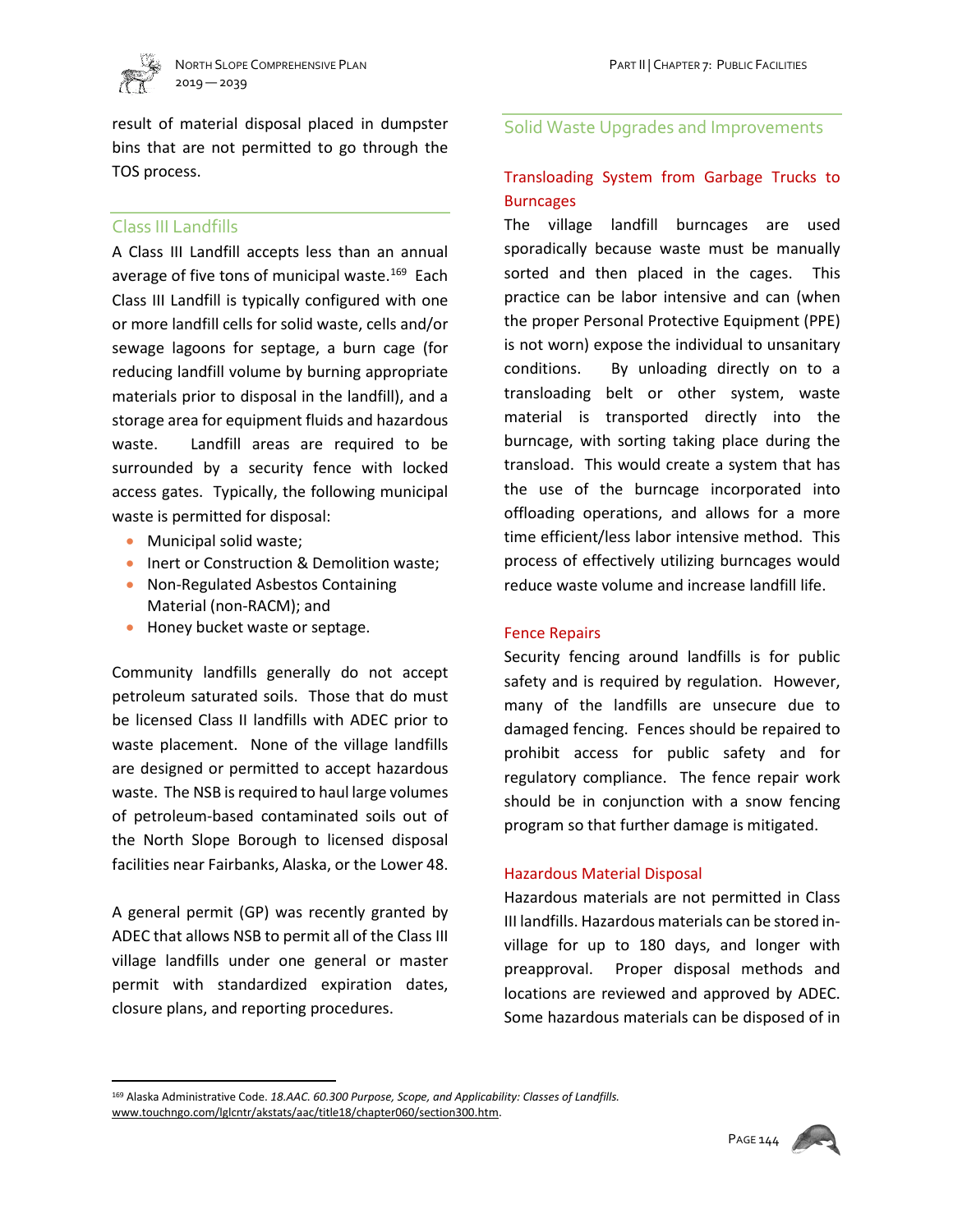result of material disposal placed in dumpster bins that are not permitted to go through the TOS process.

## Class III Landfills

A Class III Landfill accepts less than an annual average of five tons of municipal waste.<sup>[169](#page-16-0)</sup> Each Class III Landfill is typically configured with one or more landfill cells for solid waste, cells and/or sewage lagoons for septage, a burn cage (for reducing landfill volume by burning appropriate materials prior to disposal in the landfill), and a storage area for equipment fluids and hazardous waste. Landfill areas are required to be surrounded by a security fence with locked access gates. Typically, the following municipal waste is permitted for disposal:

- Municipal solid waste;
- Inert or Construction & Demolition waste:
- Non-Regulated Asbestos Containing Material (non-RACM); and
- Honey bucket waste or septage.

Community landfills generally do not accept petroleum saturated soils. Those that do must be licensed Class II landfills with ADEC prior to waste placement. None of the village landfills are designed or permitted to accept hazardous waste. The NSB is required to haul large volumes of petroleum-based contaminated soils out of the North Slope Borough to licensed disposal facilities near Fairbanks, Alaska, or the Lower 48.

A general permit (GP) was recently granted by ADEC that allows NSB to permit all of the Class III village landfills under one general or master permit with standardized expiration dates, closure plans, and reporting procedures.

## Solid Waste Upgrades and Improvements

## Transloading System from Garbage Trucks to **Burncages**

The village landfill burncages are used sporadically because waste must be manually sorted and then placed in the cages. This practice can be labor intensive and can (when the proper Personal Protective Equipment (PPE) is not worn) expose the individual to unsanitary conditions. By unloading directly on to a transloading belt or other system, waste material is transported directly into the burncage, with sorting taking place during the transload. This would create a system that has the use of the burncage incorporated into offloading operations, and allows for a more time efficient/less labor intensive method. This process of effectively utilizing burncages would reduce waste volume and increase landfill life.

### Fence Repairs

Security fencing around landfills is for public safety and is required by regulation. However, many of the landfills are unsecure due to damaged fencing. Fences should be repaired to prohibit access for public safety and for regulatory compliance. The fence repair work should be in conjunction with a snow fencing program so that further damage is mitigated.

### Hazardous Material Disposal

Hazardous materials are not permitted in Class III landfills. Hazardous materials can be stored invillage for up to 180 days, and longer with preapproval. Proper disposal methods and locations are reviewed and approved by ADEC. Some hazardous materials can be disposed of in

<span id="page-16-0"></span> $\overline{\phantom{a}}$ <sup>169</sup> Alaska Administrative Code. *18.AAC. 60.300 Purpose, Scope, and Applicability: Classes of Landfills.*  www.touchngo.com/lglcntr/akstats/aac/title18/chapter060/section300.htm.

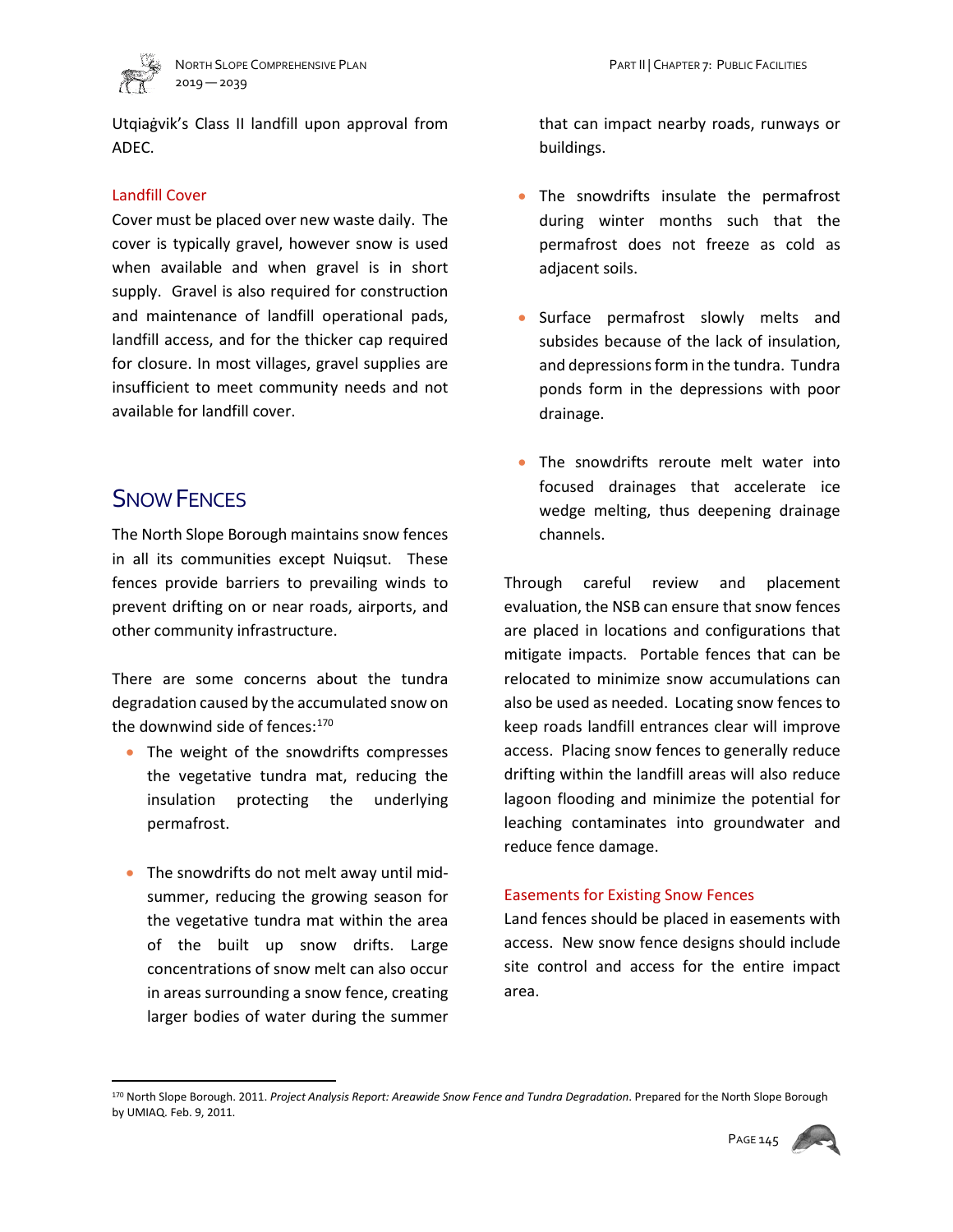

Utqiaġvik's Class II landfill upon approval from ADEC.

#### Landfill Cover

Cover must be placed over new waste daily. The cover is typically gravel, however snow is used when available and when gravel is in short supply. Gravel is also required for construction and maintenance of landfill operational pads, landfill access, and for the thicker cap required for closure. In most villages, gravel supplies are insufficient to meet community needs and not available for landfill cover.

## SNOW FENCES

 $\overline{\phantom{a}}$ 

The North Slope Borough maintains snow fences in all its communities except Nuiqsut. These fences provide barriers to prevailing winds to prevent drifting on or near roads, airports, and other community infrastructure.

There are some concerns about the tundra degradation caused by the accumulated snow on the downwind side of fences:<sup>[170](#page-17-0)</sup>

- The weight of the snowdrifts compresses the vegetative tundra mat, reducing the insulation protecting the underlying permafrost.
- The snowdrifts do not melt away until midsummer, reducing the growing season for the vegetative tundra mat within the area of the built up snow drifts. Large concentrations of snow melt can also occur in areas surrounding a snow fence, creating larger bodies of water during the summer

that can impact nearby roads, runways or buildings.

- The snowdrifts insulate the permafrost during winter months such that the permafrost does not freeze as cold as adjacent soils.
- Surface permafrost slowly melts and subsides because of the lack of insulation, and depressions form in the tundra. Tundra ponds form in the depressions with poor drainage.
- The snowdrifts reroute melt water into focused drainages that accelerate ice wedge melting, thus deepening drainage channels.

Through careful review and placement evaluation, the NSB can ensure that snow fences are placed in locations and configurations that mitigate impacts. Portable fences that can be relocated to minimize snow accumulations can also be used as needed. Locating snow fences to keep roads landfill entrances clear will improve access. Placing snow fences to generally reduce drifting within the landfill areas will also reduce lagoon flooding and minimize the potential for leaching contaminates into groundwater and reduce fence damage.

#### Easements for Existing Snow Fences

Land fences should be placed in easements with access. New snow fence designs should include site control and access for the entire impact area.

<span id="page-17-0"></span><sup>170</sup> North Slope Borough. 2011. *Project Analysis Report: Areawide Snow Fence and Tundra Degradation*. Prepared for the North Slope Borough by UMIAQ. Feb. 9, 2011.

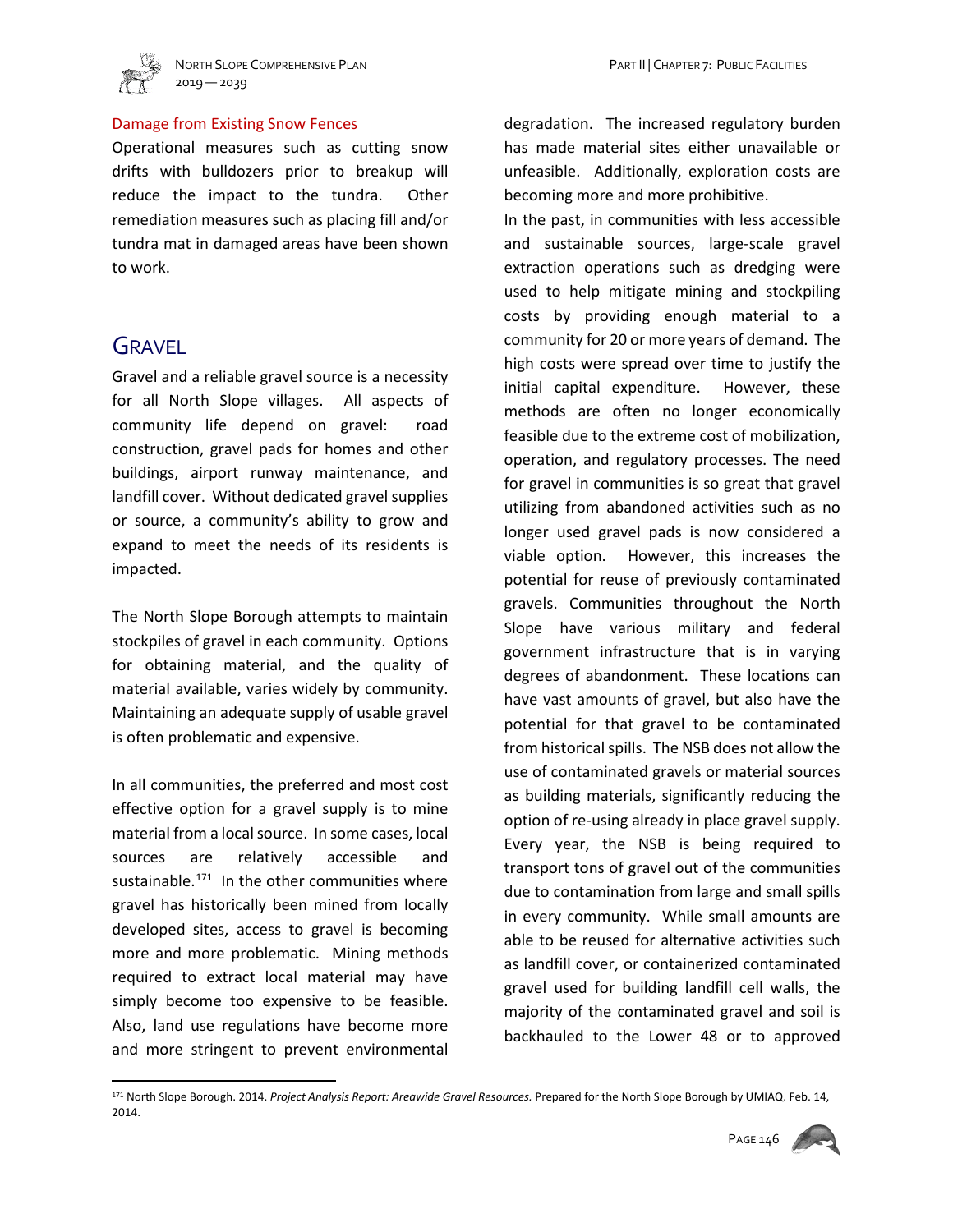

#### Damage from Existing Snow Fences

Operational measures such as cutting snow drifts with bulldozers prior to breakup will reduce the impact to the tundra. Other remediation measures such as placing fill and/or tundra mat in damaged areas have been shown to work.

## **GRAVEL**

 $\overline{\phantom{a}}$ 

Gravel and a reliable gravel source is a necessity for all North Slope villages. All aspects of community life depend on gravel: road construction, gravel pads for homes and other buildings, airport runway maintenance, and landfill cover. Without dedicated gravel supplies or source, a community's ability to grow and expand to meet the needs of its residents is impacted.

The North Slope Borough attempts to maintain stockpiles of gravel in each community. Options for obtaining material, and the quality of material available, varies widely by community. Maintaining an adequate supply of usable gravel is often problematic and expensive.

In all communities, the preferred and most cost effective option for a gravel supply is to mine material from a local source. In some cases, local sources are relatively accessible and sustainable.<sup>[171](#page-18-0)</sup> In the other communities where gravel has historically been mined from locally developed sites, access to gravel is becoming more and more problematic. Mining methods required to extract local material may have simply become too expensive to be feasible. Also, land use regulations have become more and more stringent to prevent environmental

degradation. The increased regulatory burden has made material sites either unavailable or unfeasible. Additionally, exploration costs are becoming more and more prohibitive.

In the past, in communities with less accessible and sustainable sources, large-scale gravel extraction operations such as dredging were used to help mitigate mining and stockpiling costs by providing enough material to a community for 20 or more years of demand. The high costs were spread over time to justify the initial capital expenditure. However, these methods are often no longer economically feasible due to the extreme cost of mobilization, operation, and regulatory processes. The need for gravel in communities is so great that gravel utilizing from abandoned activities such as no longer used gravel pads is now considered a viable option. However, this increases the potential for reuse of previously contaminated gravels. Communities throughout the North Slope have various military and federal government infrastructure that is in varying degrees of abandonment. These locations can have vast amounts of gravel, but also have the potential for that gravel to be contaminated from historical spills. The NSB does not allow the use of contaminated gravels or material sources as building materials, significantly reducing the option of re-using already in place gravel supply. Every year, the NSB is being required to transport tons of gravel out of the communities due to contamination from large and small spills in every community. While small amounts are able to be reused for alternative activities such as landfill cover, or containerized contaminated gravel used for building landfill cell walls, the majority of the contaminated gravel and soil is backhauled to the Lower 48 or to approved

<span id="page-18-0"></span><sup>171</sup> North Slope Borough. 2014. Project Analysis Report: Areawide Gravel Resources. Prepared for the North Slope Borough by UMIAQ. Feb. 14, 2014.

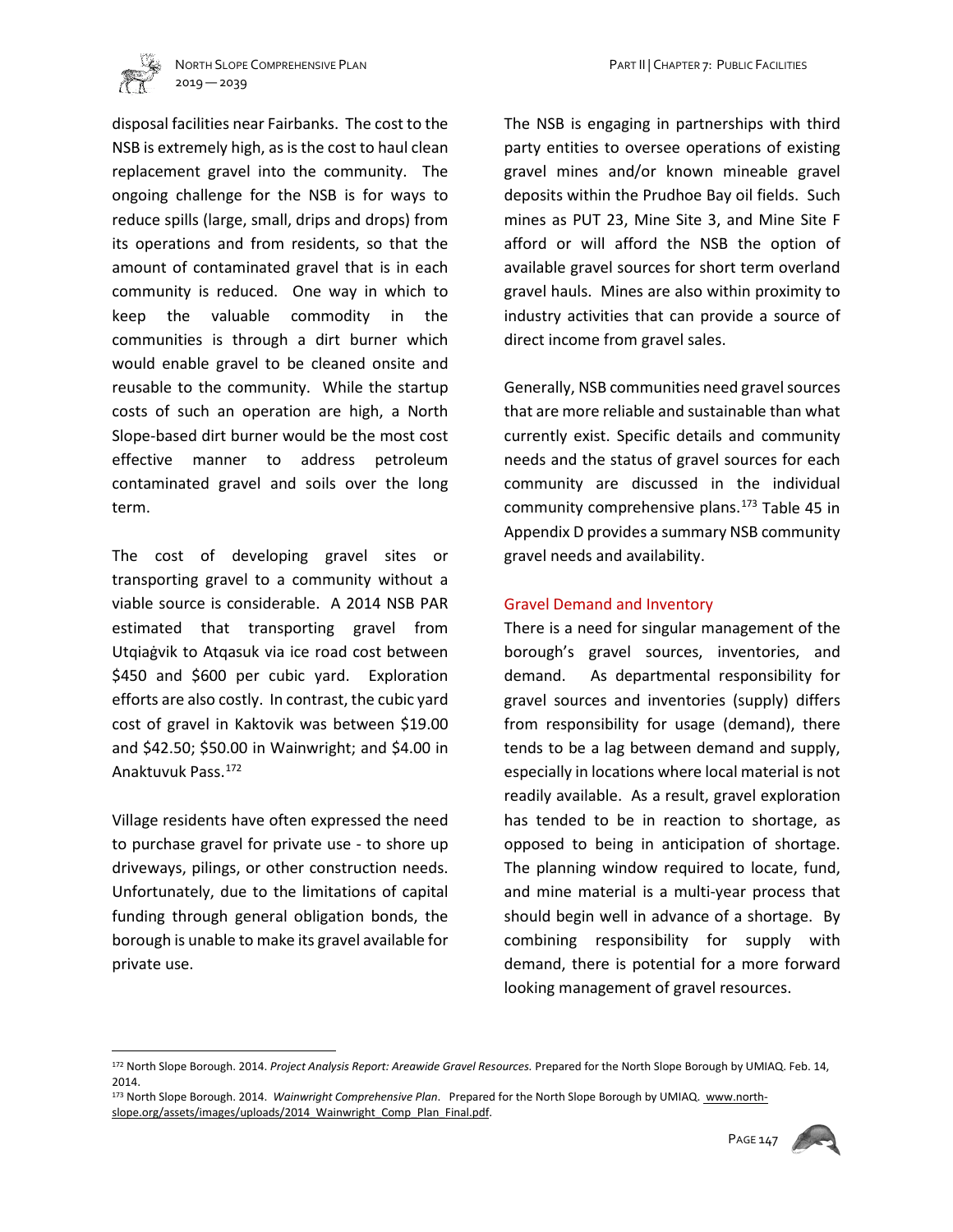

disposal facilities near Fairbanks. The cost to the NSB is extremely high, as is the cost to haul clean replacement gravel into the community. The ongoing challenge for the NSB is for ways to reduce spills (large, small, drips and drops) from its operations and from residents, so that the amount of contaminated gravel that is in each community is reduced. One way in which to keep the valuable commodity in the communities is through a dirt burner which would enable gravel to be cleaned onsite and reusable to the community. While the startup costs of such an operation are high, a North Slope-based dirt burner would be the most cost effective manner to address petroleum contaminated gravel and soils over the long term.

The cost of developing gravel sites or transporting gravel to a community without a viable source is considerable. A 2014 NSB PAR estimated that transporting gravel from Utqiaġvik to Atqasuk via ice road cost between \$450 and \$600 per cubic yard. Exploration efforts are also costly. In contrast, the cubic yard cost of gravel in Kaktovik was between \$19.00 and \$42.50; \$50.00 in Wainwright; and \$4.00 in Anaktuvuk Pass.[172](#page-19-0)

Village residents have often expressed the need to purchase gravel for private use - to shore up driveways, pilings, or other construction needs. Unfortunately, due to the limitations of capital funding through general obligation bonds, the borough is unable to make its gravel available for private use.

 $\overline{\phantom{a}}$ 

The NSB is engaging in partnerships with third party entities to oversee operations of existing gravel mines and/or known mineable gravel deposits within the Prudhoe Bay oil fields. Such mines as PUT 23, Mine Site 3, and Mine Site F afford or will afford the NSB the option of available gravel sources for short term overland gravel hauls. Mines are also within proximity to industry activities that can provide a source of direct income from gravel sales.

Generally, NSB communities need gravel sources that are more reliable and sustainable than what currently exist. Specific details and community needs and the status of gravel sources for each community are discussed in the individual community comprehensive plans. [173](#page-19-1) Table 45 in Appendix D provides a summary NSB community gravel needs and availability.

#### Gravel Demand and Inventory

There is a need for singular management of the borough's gravel sources, inventories, and demand. As departmental responsibility for gravel sources and inventories (supply) differs from responsibility for usage (demand), there tends to be a lag between demand and supply, especially in locations where local material is not readily available. As a result, gravel exploration has tended to be in reaction to shortage, as opposed to being in anticipation of shortage. The planning window required to locate, fund, and mine material is a multi-year process that should begin well in advance of a shortage. By combining responsibility for supply with demand, there is potential for a more forward looking management of gravel resources.



<span id="page-19-0"></span><sup>172</sup> North Slope Borough. 2014. *Project Analysis Report: Areawide Gravel Resources.* Prepared for the North Slope Borough by UMIAQ. Feb. 14, 2014.

<span id="page-19-1"></span><sup>173</sup> North Slope Borough. 2014. *Wainwright Comprehensive Plan*. Prepared for the North Slope Borough by UMIAQ. www.northslope.org/assets/images/uploads/2014 Wainwright Comp\_Plan\_Final.pdf.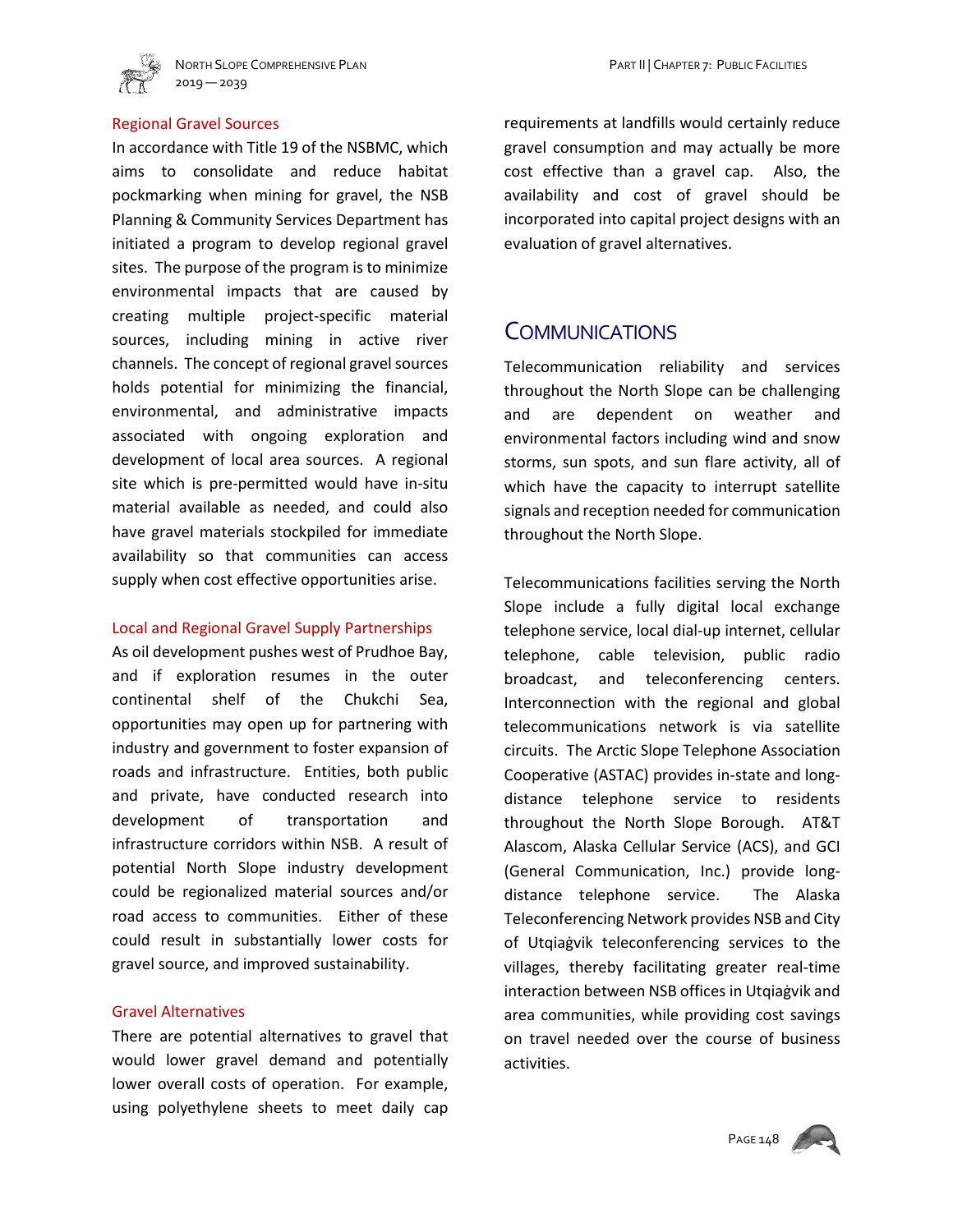

#### Regional Gravel Sources

In accordance with Title 19 of the NSBMC, which aims to consolidate and reduce habitat pockmarking when mining for gravel, the NSB Planning & Community Services Department has initiated a program to develop regional gravel sites. The purpose of the program is to minimize environmental impacts that are caused by creating multiple project-specific material sources, including mining in active river channels. The concept of regional gravel sources holds potential for minimizing the financial, environmental, and administrative impacts associated with ongoing exploration and development of local area sources. A regional site which is pre-permitted would have in-situ material available as needed, and could also have gravel materials stockpiled for immediate availability so that communities can access supply when cost effective opportunities arise.

#### Local and Regional Gravel Supply Partnerships

As oil development pushes west of Prudhoe Bay, and if exploration resumes in the outer continental shelf of the Chukchi Sea, opportunities may open up for partnering with industry and government to foster expansion of roads and infrastructure. Entities, both public and private, have conducted research into development of transportation and infrastructure corridors within NSB. A result of potential North Slope industry development could be regionalized material sources and/or road access to communities. Either of these could result in substantially lower costs for gravel source, and improved sustainability.

#### Gravel Alternatives

There are potential alternatives to gravel that would lower gravel demand and potentially lower overall costs of operation. For example, using polyethylene sheets to meet daily cap

requirements at landfills would certainly reduce gravel consumption and may actually be more cost effective than a gravel cap. Also, the availability and cost of gravel should be incorporated into capital project designs with an evaluation of gravel alternatives.

## **COMMUNICATIONS**

Telecommunication reliability and services throughout the North Slope can be challenging and are dependent on weather and environmental factors including wind and snow storms, sun spots, and sun flare activity, all of which have the capacity to interrupt satellite signals and reception needed for communication throughout the North Slope.

Telecommunications facilities serving the North Slope include a fully digital local exchange telephone service, local dial-up internet, cellular telephone, cable television, public radio broadcast, and teleconferencing centers. Interconnection with the regional and global telecommunications network is via satellite circuits. The Arctic Slope Telephone Association Cooperative (ASTAC) provides in-state and longdistance telephone service to residents throughout the North Slope Borough. AT&T Alascom, Alaska Cellular Service (ACS), and GCI (General Communication, Inc.) provide longdistance telephone service. The Alaska Teleconferencing Network provides NSB and City of Utqiaġvik teleconferencing services to the villages, thereby facilitating greater real-time interaction between NSB offices in Utqiaġvik and area communities, while providing cost savings on travel needed over the course of business activities.

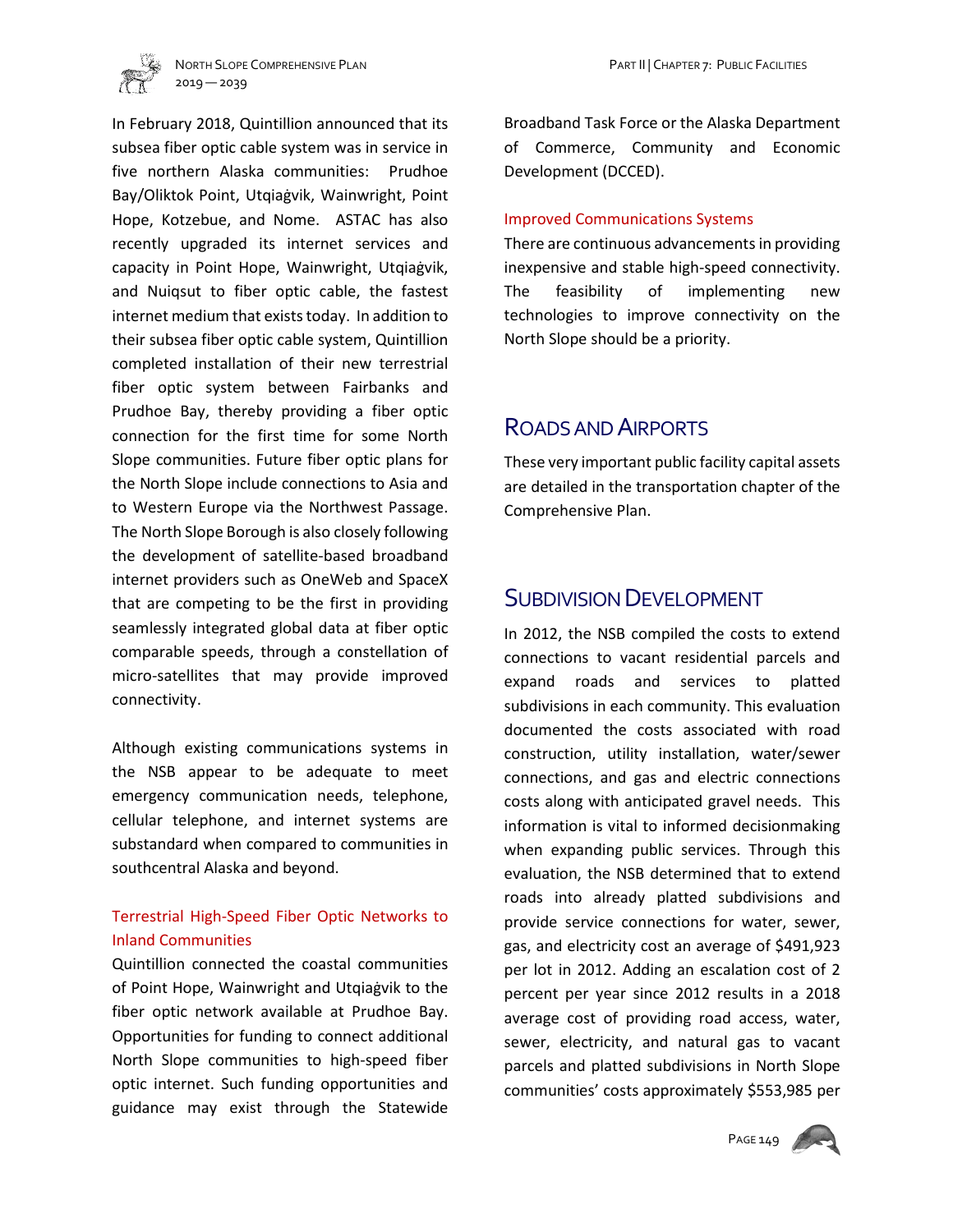

NORTH SLOPE COMPREHENSIVE PLAN PART II | CHAPTER 7: PUBLIC FACILITIES 2019 — 2039

In February 2018, Quintillion announced that its subsea fiber optic cable system was in service in five northern Alaska communities: Prudhoe Bay/Oliktok Point, Utqiaġvik, Wainwright, Point Hope, Kotzebue, and Nome. ASTAC has also recently upgraded its internet services and capacity in Point Hope, Wainwright, Utqiaġvik, and Nuiqsut to fiber optic cable, the fastest internet medium that exists today. In addition to their subsea fiber optic cable system, Quintillion completed installation of their new terrestrial fiber optic system between Fairbanks and Prudhoe Bay, thereby providing a fiber optic connection for the first time for some North Slope communities. Future fiber optic plans for the North Slope include connections to Asia and to Western Europe via the Northwest Passage. The North Slope Borough is also closely following the development of satellite-based broadband internet providers such as OneWeb and SpaceX that are competing to be the first in providing seamlessly integrated global data at fiber optic comparable speeds, through a constellation of micro-satellites that may provide improved connectivity.

Although existing communications systems in the NSB appear to be adequate to meet emergency communication needs, telephone, cellular telephone, and internet systems are substandard when compared to communities in southcentral Alaska and beyond.

## Terrestrial High-Speed Fiber Optic Networks to Inland Communities

Quintillion connected the coastal communities of Point Hope, Wainwright and Utqiaġvik to the fiber optic network available at Prudhoe Bay. Opportunities for funding to connect additional North Slope communities to high-speed fiber optic internet. Such funding opportunities and guidance may exist through the Statewide

Broadband Task Force or the Alaska Department of Commerce, Community and Economic Development (DCCED).

#### Improved Communications Systems

There are continuous advancements in providing inexpensive and stable high-speed connectivity. The feasibility of implementing new technologies to improve connectivity on the North Slope should be a priority.

## ROADS AND AIRPORTS

These very important public facility capital assets are detailed in the transportation chapter of the Comprehensive Plan.

## SUBDIVISION DEVELOPMENT

In 2012, the NSB compiled the costs to extend connections to vacant residential parcels and expand roads and services to platted subdivisions in each community. This evaluation documented the costs associated with road construction, utility installation, water/sewer connections, and gas and electric connections costs along with anticipated gravel needs. This information is vital to informed decisionmaking when expanding public services. Through this evaluation, the NSB determined that to extend roads into already platted subdivisions and provide service connections for water, sewer, gas, and electricity cost an average of \$491,923 per lot in 2012. Adding an escalation cost of 2 percent per year since 2012 results in a 2018 average cost of providing road access, water, sewer, electricity, and natural gas to vacant parcels and platted subdivisions in North Slope communities' costs approximately \$553,985 per

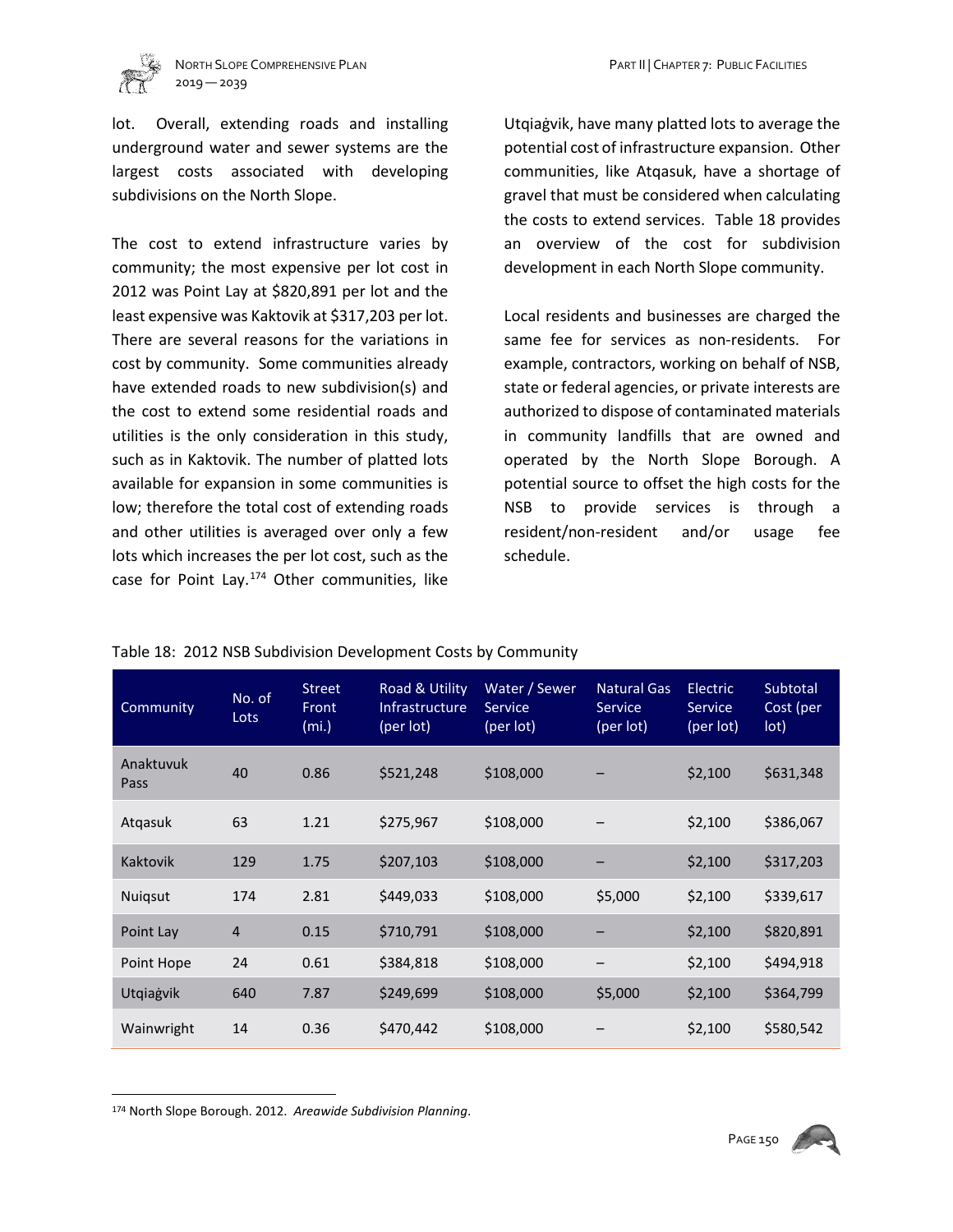

lot. Overall, extending roads and installing underground water and sewer systems are the largest costs associated with developing subdivisions on the North Slope.

The cost to extend infrastructure varies by community; the most expensive per lot cost in 2012 was Point Lay at \$820,891 per lot and the least expensive was Kaktovik at \$317,203 per lot. There are several reasons for the variations in cost by community. Some communities already have extended roads to new subdivision(s) and the cost to extend some residential roads and utilities is the only consideration in this study, such as in Kaktovik. The number of platted lots available for expansion in some communities is low; therefore the total cost of extending roads and other utilities is averaged over only a few lots which increases the per lot cost, such as the case for Point Lay.[174](#page-22-0) Other communities, like

Utqiaġvik, have many platted lots to average the potential cost of infrastructure expansion. Other communities, like Atqasuk, have a shortage of gravel that must be considered when calculating the costs to extend services. Table 18 provides an overview of the cost for subdivision development in each North Slope community.

Local residents and businesses are charged the same fee for services as non-residents. For example, contractors, working on behalf of NSB, state or federal agencies, or private interests are authorized to dispose of contaminated materials in community landfills that are owned and operated by the North Slope Borough. A potential source to offset the high costs for the NSB to provide services is through a resident/non-resident and/or usage fee schedule.

#### Table 18: 2012 NSB Subdivision Development Costs by Community

| Community         | No. of<br>Lots | <b>Street</b><br>Front<br>(mi.) | Road & Utility<br>Infrastructure<br>(per lot) | Water / Sewer<br>Service<br>(per lot) | <b>Natural Gas</b><br>Service<br>(per lot) | Electric<br>Service<br>(per lot) | Subtotal<br>Cost (per<br>$\vert \text{ot} \rangle$ |
|-------------------|----------------|---------------------------------|-----------------------------------------------|---------------------------------------|--------------------------------------------|----------------------------------|----------------------------------------------------|
| Anaktuvuk<br>Pass | 40             | 0.86                            | \$521,248                                     | \$108,000                             |                                            | \$2,100                          | \$631,348                                          |
| Atgasuk           | 63             | 1.21                            | \$275,967                                     | \$108,000                             |                                            | \$2,100                          | \$386,067                                          |
| Kaktovik          | 129            | 1.75                            | \$207,103                                     | \$108,000                             |                                            | \$2,100                          | \$317,203                                          |
| Nuiqsut           | 174            | 2.81                            | \$449,033                                     | \$108,000                             | \$5,000                                    | \$2,100                          | \$339,617                                          |
| Point Lay         | $\overline{4}$ | 0.15                            | \$710,791                                     | \$108,000                             |                                            | \$2,100                          | \$820,891                                          |
| Point Hope        | 24             | 0.61                            | \$384,818                                     | \$108,000                             |                                            | \$2,100                          | \$494,918                                          |
| Utgiagvik         | 640            | 7.87                            | \$249,699                                     | \$108,000                             | \$5,000                                    | \$2,100                          | \$364,799                                          |
| Wainwright        | 14             | 0.36                            | \$470,442                                     | \$108,000                             |                                            | \$2,100                          | \$580,542                                          |

<span id="page-22-0"></span><sup>174</sup> North Slope Borough. 2012. *Areawide Subdivision Planning*.

 $\overline{\phantom{a}}$ 

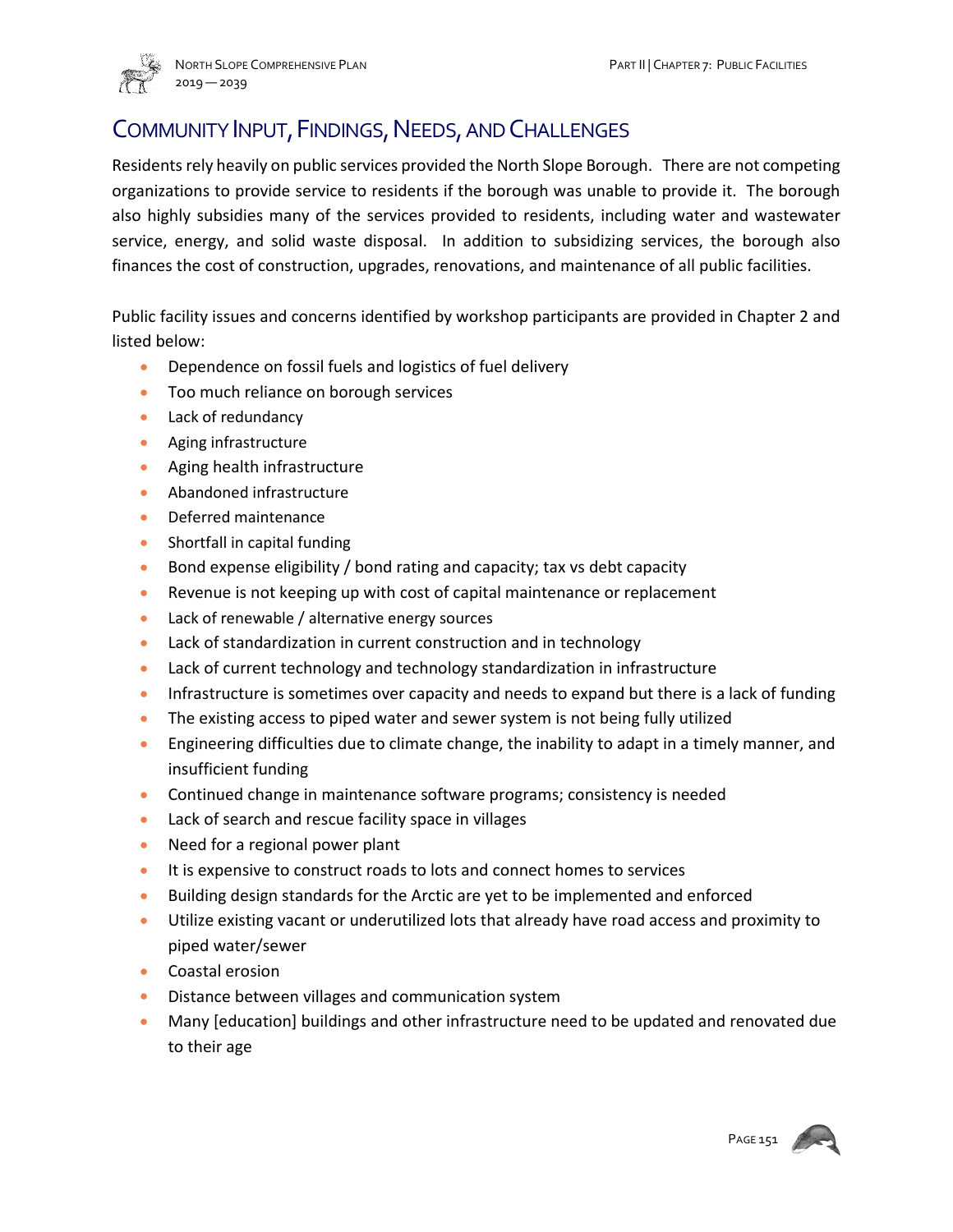

## COMMUNITY INPUT, FINDINGS, NEEDS, AND CHALLENGES

Residents rely heavily on public services provided the North Slope Borough. There are not competing organizations to provide service to residents if the borough was unable to provide it. The borough also highly subsidies many of the services provided to residents, including water and wastewater service, energy, and solid waste disposal. In addition to subsidizing services, the borough also finances the cost of construction, upgrades, renovations, and maintenance of all public facilities.

Public facility issues and concerns identified by workshop participants are provided in Chapter 2 and listed below:

- Dependence on fossil fuels and logistics of fuel delivery
- Too much reliance on borough services
- Lack of redundancy
- Aging infrastructure
- Aging health infrastructure
- Abandoned infrastructure
- Deferred maintenance
- Shortfall in capital funding
- Bond expense eligibility / bond rating and capacity; tax vs debt capacity
- Revenue is not keeping up with cost of capital maintenance or replacement
- Lack of renewable / alternative energy sources
- Lack of standardization in current construction and in technology
- Lack of current technology and technology standardization in infrastructure
- Infrastructure is sometimes over capacity and needs to expand but there is a lack of funding
- The existing access to piped water and sewer system is not being fully utilized
- Engineering difficulties due to climate change, the inability to adapt in a timely manner, and insufficient funding
- Continued change in maintenance software programs; consistency is needed
- Lack of search and rescue facility space in villages
- Need for a regional power plant
- It is expensive to construct roads to lots and connect homes to services
- Building design standards for the Arctic are yet to be implemented and enforced
- Utilize existing vacant or underutilized lots that already have road access and proximity to piped water/sewer
- Coastal erosion
- Distance between villages and communication system
- Many [education] buildings and other infrastructure need to be updated and renovated due to their age

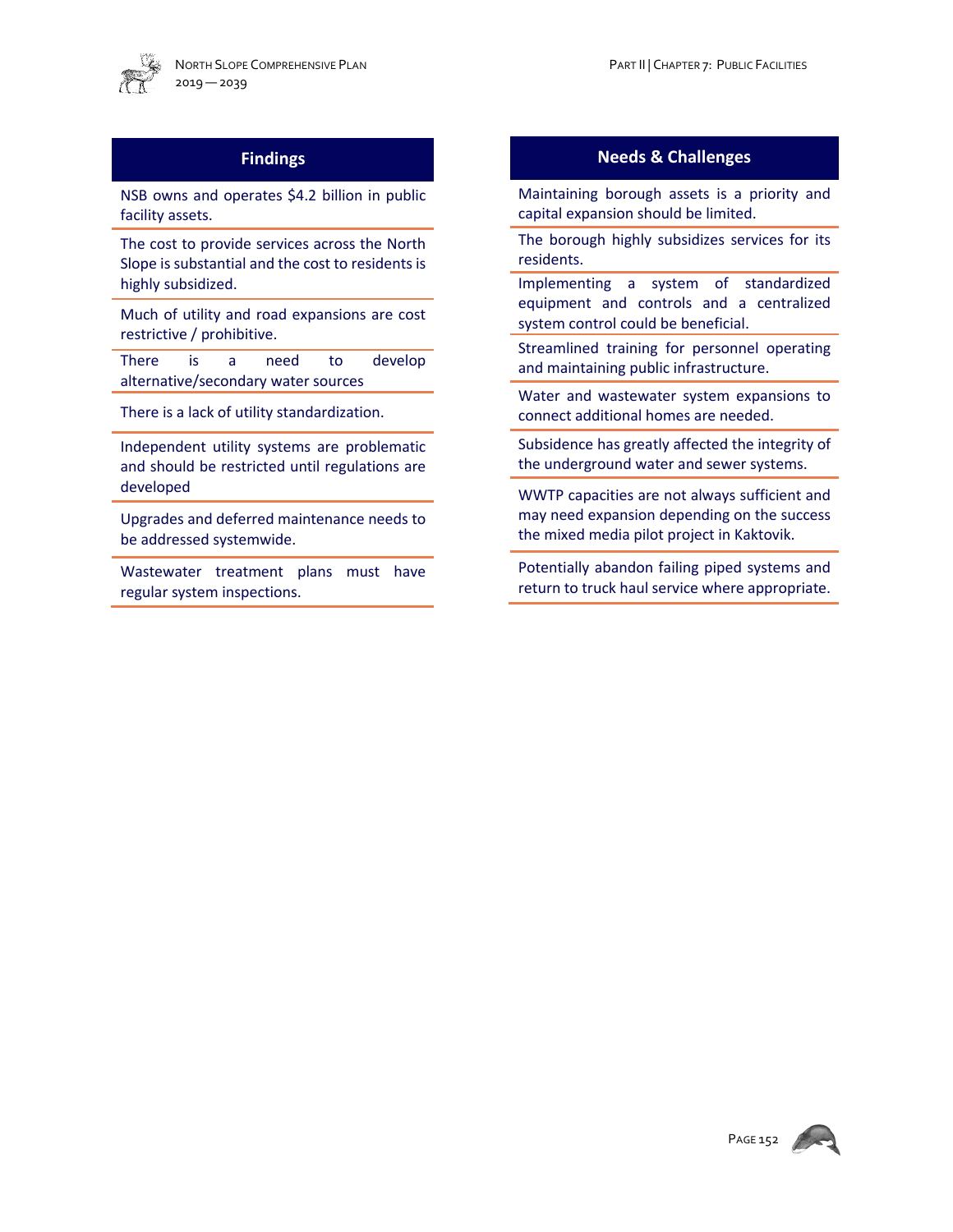## **Findings**

NSB owns and operates \$4.2 billion in public facility assets.

The cost to provide services across the North Slope is substantial and the cost to residents is highly subsidized.

Much of utility and road expansions are cost restrictive / prohibitive.

There is a need to develop alternative/secondary water sources

There is a lack of utility standardization.

Independent utility systems are problematic and should be restricted until regulations are developed

Upgrades and deferred maintenance needs to be addressed systemwide.

Wastewater treatment plans must have regular system inspections.

### **Needs & Challenges**

Maintaining borough assets is a priority and capital expansion should be limited.

The borough highly subsidizes services for its residents.

Implementing a system of standardized equipment and controls and a centralized system control could be beneficial.

Streamlined training for personnel operating and maintaining public infrastructure.

Water and wastewater system expansions to connect additional homes are needed.

Subsidence has greatly affected the integrity of the underground water and sewer systems.

WWTP capacities are not always sufficient and may need expansion depending on the success the mixed media pilot project in Kaktovik.

Potentially abandon failing piped systems and return to truck haul service where appropriate.

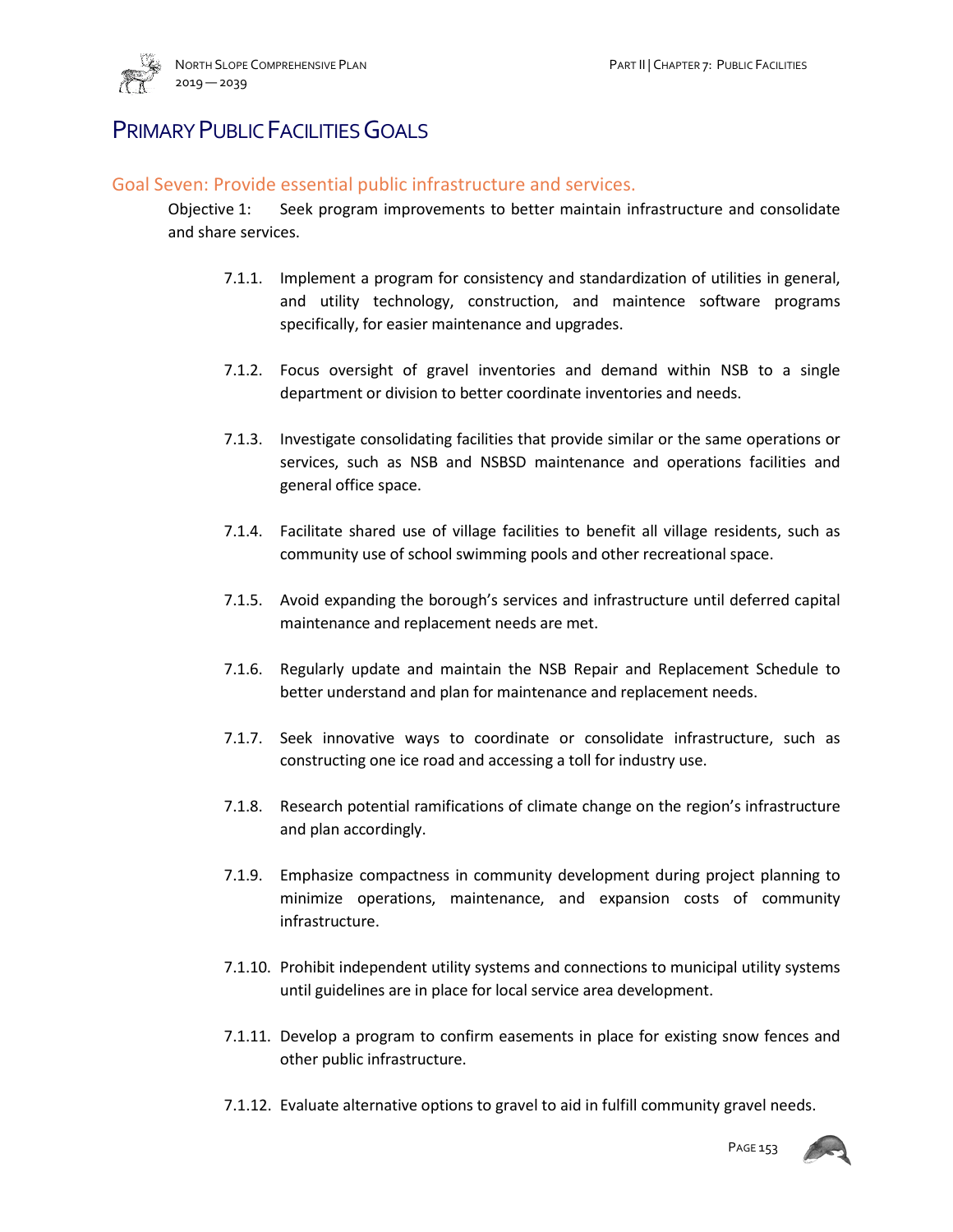## PRIMARY PUBLIC FACILITIES GOALS

## Goal Seven: Provide essential public infrastructure and services.

Objective 1: Seek program improvements to better maintain infrastructure and consolidate and share services.

- 7.1.1. Implement a program for consistency and standardization of utilities in general, and utility technology, construction, and maintence software programs specifically, for easier maintenance and upgrades.
- 7.1.2. Focus oversight of gravel inventories and demand within NSB to a single department or division to better coordinate inventories and needs.
- 7.1.3. Investigate consolidating facilities that provide similar or the same operations or services, such as NSB and NSBSD maintenance and operations facilities and general office space.
- 7.1.4. Facilitate shared use of village facilities to benefit all village residents, such as community use of school swimming pools and other recreational space.
- 7.1.5. Avoid expanding the borough's services and infrastructure until deferred capital maintenance and replacement needs are met.
- 7.1.6. Regularly update and maintain the NSB Repair and Replacement Schedule to better understand and plan for maintenance and replacement needs.
- 7.1.7. Seek innovative ways to coordinate or consolidate infrastructure, such as constructing one ice road and accessing a toll for industry use.
- 7.1.8. Research potential ramifications of climate change on the region's infrastructure and plan accordingly.
- 7.1.9. Emphasize compactness in community development during project planning to minimize operations, maintenance, and expansion costs of community infrastructure.
- 7.1.10. Prohibit independent utility systems and connections to municipal utility systems until guidelines are in place for local service area development.
- 7.1.11. Develop a program to confirm easements in place for existing snow fences and other public infrastructure.
- 7.1.12. Evaluate alternative options to gravel to aid in fulfill community gravel needs.



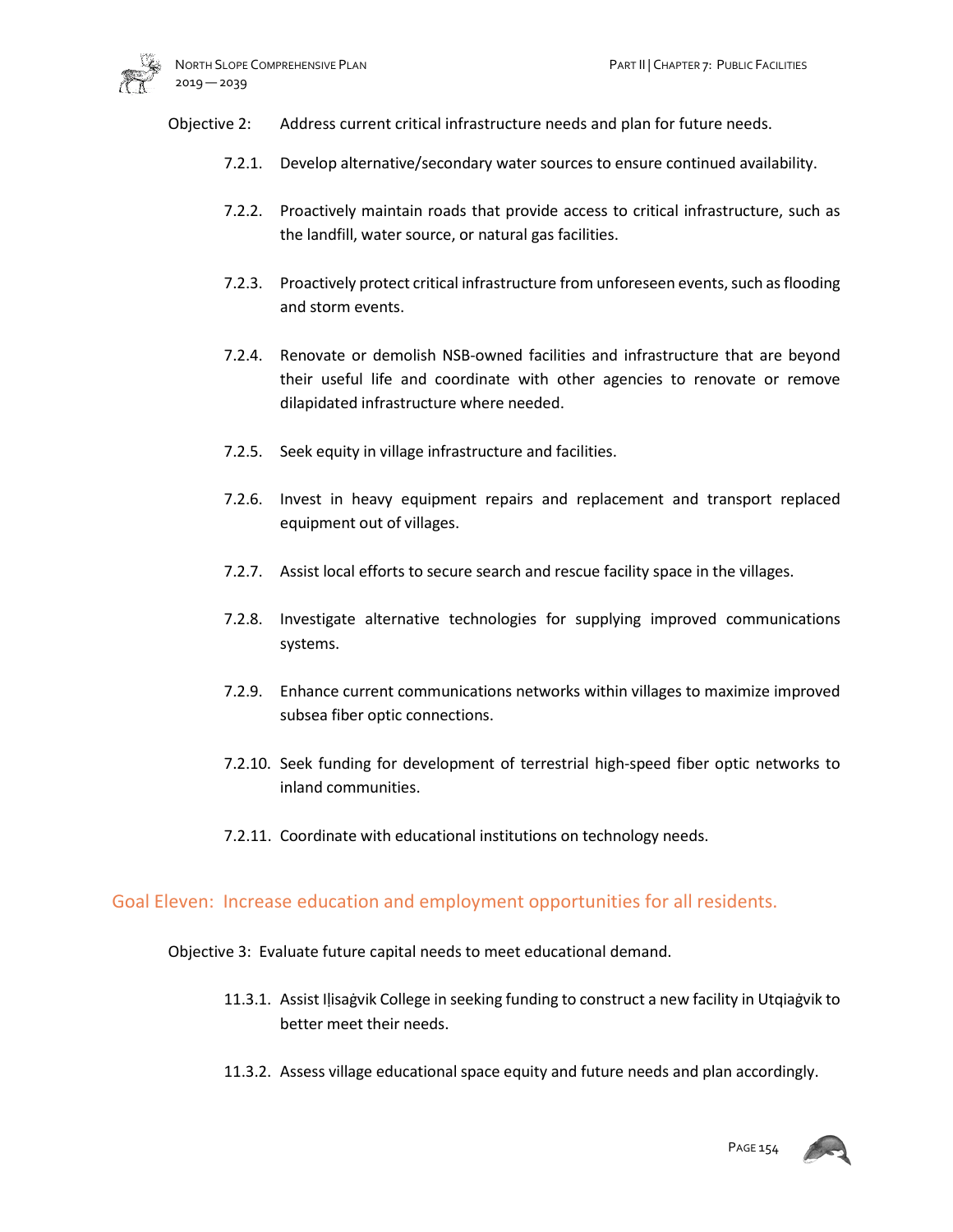

Objective 2: Address current critical infrastructure needs and plan for future needs.

- 7.2.1. Develop alternative/secondary water sources to ensure continued availability.
- 7.2.2. Proactively maintain roads that provide access to critical infrastructure, such as the landfill, water source, or natural gas facilities.
- 7.2.3. Proactively protect critical infrastructure from unforeseen events, such as flooding and storm events.
- 7.2.4. Renovate or demolish NSB-owned facilities and infrastructure that are beyond their useful life and coordinate with other agencies to renovate or remove dilapidated infrastructure where needed.
- 7.2.5. Seek equity in village infrastructure and facilities.
- 7.2.6. Invest in heavy equipment repairs and replacement and transport replaced equipment out of villages.
- 7.2.7. Assist local efforts to secure search and rescue facility space in the villages.
- 7.2.8. Investigate alternative technologies for supplying improved communications systems.
- 7.2.9. Enhance current communications networks within villages to maximize improved subsea fiber optic connections.
- 7.2.10. Seek funding for development of terrestrial high-speed fiber optic networks to inland communities.
- 7.2.11. Coordinate with educational institutions on technology needs.

### Goal Eleven: Increase education and employment opportunities for all residents.

Objective 3: Evaluate future capital needs to meet educational demand.

- 11.3.1. Assist Iḷisaġvik College in seeking funding to construct a new facility in Utqiaġvik to better meet their needs.
- 11.3.2. Assess village educational space equity and future needs and plan accordingly.